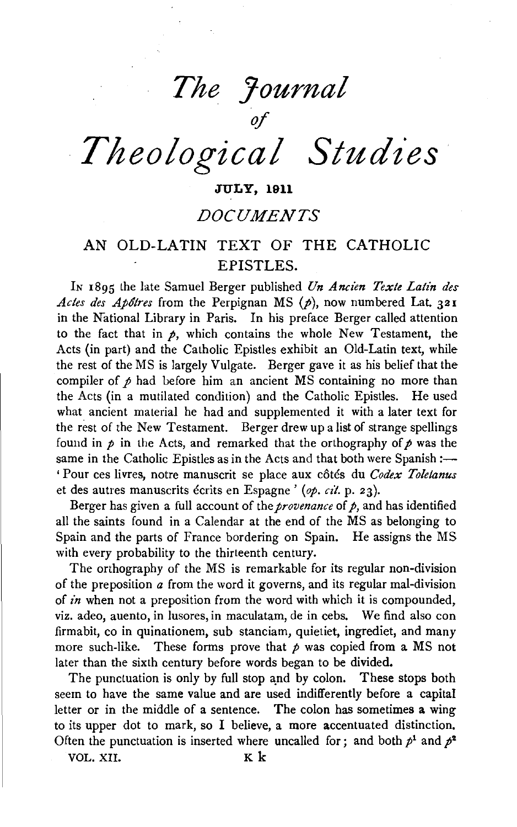*The Journal of* 

*Theological Studies* 

## JULY, 1911

# *DOCUMENTS*

# AN OLD-LATIN TEXT OF THE CATHOLIC EPISTLES.

IN 1895 the late Samuel Berger published *Vn Ancien Texte Latin des Actes des Apôtres* from the Perpignan MS  $(p)$ , now numbered Lat. 321 in the National Library in Paris. In his preface Berger called attention to the fact that in  $p$ , which contains the whole New Testament, the Acts (in part) and the Catholic Epistles exhibit an Old-Latin text, while the rest of the MS is largely Vulgate. Berger gave it as his belief that the compiler of  $\rho$  had before him an ancient MS containing no more than the Acts (in a mutilated condition) and the Catholic Epistles. He used what ancient material he had and supplemented it with a later text for the rest of the New Testament. Berger drew up a list of strange spellings found in  $p$  in the Acts, and remarked that the orthography of  $p$  was the same in the Catholic Epistles as in the Acts and that both were Spanish :-' Pour ces livres, notre manuscrit se place aux cotes du *Codex Toletanus*  et des autres manuscrits écrits en Espagne ' (op. cit. p. 23).

Berger has given a full account of the *provenance* of *p,* and has identified all the saints found in a Calendar at the end of the MS as belonging to Spain and the parts of France bordering on Spain. He assigns the MS with every probability to the thirteenth century.

The orthography of the MS is remarkable for its regular non-division of the preposition *a* from the word it governs, and its regular mal-division of *in* when not a preposition from the word with which it is compounded, viz. adeo, auento, in lusores, in maculatam, de in cebs. We find also con firmabit, co in quinationem, sub stanciam, quietiet, ingrediet, and many more such-like. These forms prove that  $\rho$  was copied from a MS not later than the sixth century before words began to be divided.

The punctuation is only by full stop and by colon. These stops both seem to have the same value and are used indifferently before a capital letter or in the middle of a sentence. The colon has sometimes a wing to its upper dot to mark, so I believe, a more accentuated distinction. Often the punctuation is inserted where uncalled for; and both  $p<sup>1</sup>$  and  $p<sup>2</sup>$ 

VOL. XII. K k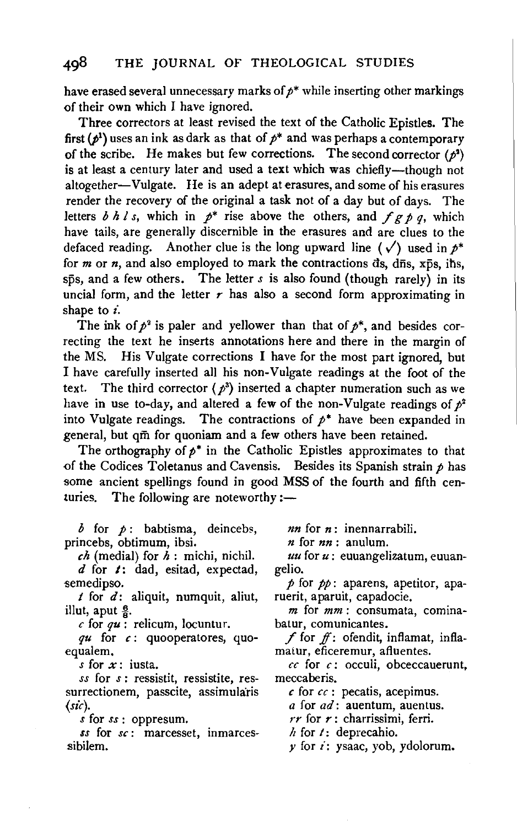have erased several unnecessary marks of  $p^*$  while inserting other markings of their own which I have ignored.

Three correctors at least revised the text of the Catholic Epistles. The first  $(p^1)$  uses an ink as dark as that of  $p^*$  and was perhaps a contemporary of the scribe. He makes but few corrections. The second corrector  $(p^2)$ is at least a century later and used a text which was chiefly-though not altogether-Vulgate. He is an adept at erasures, and some of his erasures render the recovery of the original a task not of a day but of days. The letters  $b h l s$ , which in  $p^*$  rise above the others, and  $f g p q$ , which have tails, are generally discernible in the erasures and are clues to the defaced reading. Another clue is the long upward line ( $\sqrt{}$ ) used in  $p^*$ for  $m$  or  $n$ , and also employed to mark the contractions  $ds$ ,  $d\bar{n}s$ ,  $x\bar{p}s$ , ihs,  $s\bar{p}s$ , and a few others. The letter  $s$  is also found (though rarely) in its uncial form, and the letter  $r$  has also a second form approximating in shape to *i.* 

The ink of  $p^2$  is paler and yellower than that of  $p^*$ , and besides correcting the text he inserts annotations here and there in the margin of the MS. His Vulgate corrections I have for the most part ignored, but I have carefully inserted all his non-Vulgate readings at the foot of the ext. The third corrector ( $p^3$ ) inserted a chapter numeration such as we have in use to-day, and altered a few of the non-Vulgate readings of  $p^2$ into Vulgate readings. The contractions of  $p^*$  have been expanded in general, but qm for quoniam and a few others have been retained.

The orthography of  $p^*$  in the Catholic Epistles approximates to that of the Codices Toletanus and Cavensis. Besides its Spanish strain  $p$  has some ancient spellings found in good MSS of the fourth and fifth centuries. The following are noteworthy :-

*b* for *p* : babtisma, deincebs, princebs, obtimum, ibsi.

*eh* (medial) for *h* : michi, nichil. *d* for /: dad, esitad, expectad,

semedipso.

 $t$  for  $d$ : aliquit, numquit, aliut, illut, aput  $\frac{6}{8}$ .

*c* for *qu:* relicum, Iocuntur.

*qu* for *c* : quooperatores, quoequalem.

*s* for *x:* iusta.

*ss* for *s* : ressistit, ressistite, ressurrectionem, passcite, assimularis *(sic).* 

*s* for *ss* : oppresum.

*ss* for *se:* marcesset, inmarcessibilem.

*nn* for *n* : inennarrabili.

*n* for *nn* : anulum.

*uu* for *u:* euuangelizatum, euuan- gelio.

 $p$  for  $pp$ : aparens, apetitor, aparuerit, aparuit, capadocie.

 $m$  for  $mm$ : consumata, cominabatur, comunicantes.

f for  $f$ : ofendit, inflamat, inflamaiur, eficeremur, afluentes.

*cc* for *c:* occuli, obceccauerunt, meccaberis.

*c* for *cc* : pecatis, acepimus.

*a* for *ad:* auentum, auentus.

*rr* for *r* : charrissimi, ferri.

 $h$  for  $t$ : deprecahio.

 $y$  for  $i$ : ysaac, yob, ydolorum.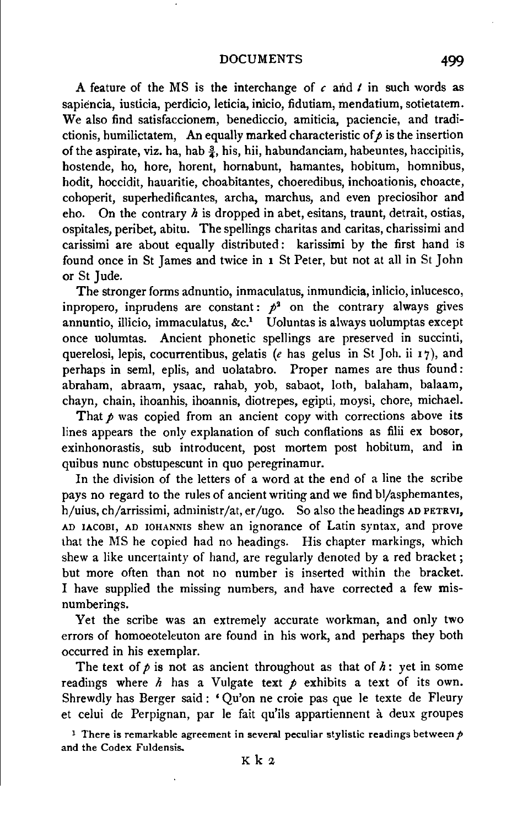A feature of the MS is the interchange of  $c$  and  $t$  in such words as sapiencia, iusticia, perdicio, leticia, inicio, fidutiam, mendatium, sotietatem. We also find satisfaccionem, benediccio, amiticia, paciencie, and tradictionis, humilictatem, An equally marked characteristic of  $\rho$  is the insertion of the aspirate, viz. ha, hab  $\frac{3}{2}$ , his, hii, habundanciam, habeuntes, haccipitis, hostende, ho, bore, horent, hornabunt, hamantes, hobitum, homnibus, hodit, hoccidit, hauaritie, choabitantes, choeredibus, inchoationis, choacte, cohoperit, superhedificantes, archa, marchus, and even preciosihor and eho. On the contrary *h* is dropped in abet, esitans, traunt, detrait, ostias, ospitales, peribet, abitu. The spellings charitas and caritas, charissimi and carissimi are about equally distributed : karissimi by the first hand is found once in St James and twice in **1** St Peter, but not at all in St John or St Jude.

The stronger forms adnuntio, inmaculatus, inmundicia, inlicio, inlucesco, inpropero, inprudens are constant:  $p^2$  on the contrary always gives annuntio, illicio, immaculatus,  $\&c<sup>1</sup>$  Uoluntas is always uolumptas except once uolumtas. Ancient phonetic spellings are preserved in succinti, querelosi, lepis, cocurrentibus, gelatis (e has gelus in St Joh. ii 17), and perhaps in semi, eplis, and uolatabro. Proper names are thus found: abraham, abraam, ysaac, rahab, yob, sabaot, loth, balaham, balaam, chayn, chain, ihoanhis, ihoannis, diotrepes, egipti, moysi, chore, michael.

That  $p$  was copied from an ancient copy with corrections above its lines appears the only explanation of such conflations as filii ex bosor, exinhonorastis, sub introducent, post mortem post hobitum, and in quibus nunc obstupescunt in quo peregrinamur.

In the division of the letters of a word at the end of a line the scribe pays no regard to the rules of ancient writing and we find bl/asphemantes, h/uius, ch/arrissimi, administr/at, er/ugo. So also the headings AD PETRVI, AD IACOBI, AD IOHANNIS shew an ignorance of Latin syntax, and prove that the MS he copied had no headings. His chapter markings, which shew a like uncertainty of hand, are regularly denoted by a red bracket ; but more often than not no number is inserted within the bracket. I have supplied the missing numbers, and have corrected a few misnumberings.

Yet the scribe was an extremely accurate workman, and only two errors of homoeoteleuton are found in his work, and perhaps they both occurred in his exemplar.

The text of  $p$  is not as ancient throughout as that of  $h$ : yet in some readings where  $h$  has a Vulgate text  $p$  exhibits a text of its own. Shrewdly has Berger said : 'Qu'on ne croie pas que le texte de Fleury et celui de Perpignan, par le fait qu'ils appartiennent à deux groupes

<sup>1</sup> There is remarkable agreement in several peculiar stylistic readings between  $p$ and the Codex Fuldensis.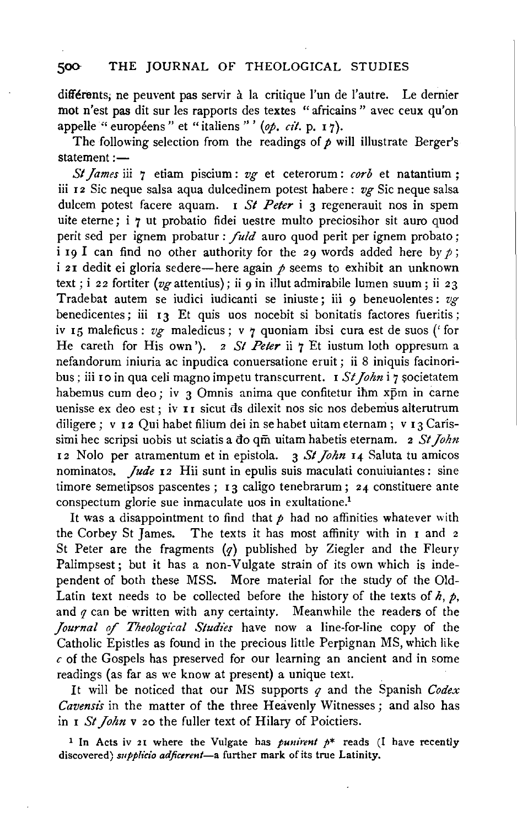## 500 THE JOURNAL OF THEOLOGICAL STUDIES

différents; ne peuvent pas servir à la critique l'un de l'autre. Le dernier mot n'est pas dit sur les rapports des textes "africains" avec ceux qu'on appelle "européens" et "italiens"' (op. cit. p. 17).

The following selection from the readings of  $p$  will illustrate Berger's statement:-

*SI James* iii 7 etiam piscium : *vg* et ceterorum : *corb* et natantium ; iii 12 Sic neque salsa aqua dulcedinem potest habere : *vg* Sic neque salsa dulcem potest facere aquam. I *St Peter* i 3 regenerauit nos in spem uite eterne; i 7 ut probatio fidei uestre multo preciosihor sit auro quod perit sed per ignem probatur : *fuld* auro quod perit per ignem probato; i 19 I can find no other authority for the 29 words added here by  $\rho$ ; i 21 dedit ei gloria sedere-here again  $\rho$  seems to exhibit an unknown text; i 22 fortiter (vg attentius); ii 9 in illut admirabile lumen suum; ii 23 Trade bat autem se iudici iudicanti se iniuste; iii 9 beneuolentes: *vg*  benedicentes; iii 13 Et quis uos nocebit si bonitatis factores fueritis; iv I5 maleficus: *vg* maledicus; v 7 quoniam ibsi cura est de suos ('for He careth for His own'). 2 *St Peter* ii 7 Et iustum loth oppresum a nefandorum iniuria ac inpudica conuersatione eruit; ii 8 iniquis facinoribus; iii 10 in qua celi magno impetu transcurrent. I St John i 7 societatem habemus cum deo; iv  $\overline{3}$  Omnis anima que confitetur ihm xpm in carne uenisse ex deo est; iv II sicut ds dilexit nos sic nos debemus alterutrum diligere; v 12 Qui habet filium dei in se habet uitam eternam; v 13 Carissimi hec scripsi uobis ut sciatis a do qm uitam habetis eternam. 2 *St John* 12 Nolo per atramentum et in epistola. 3 *St John* 14 Saluta tu amicos nominatos. *Jude* 12 Hii sunt in epulis suis maculati conuiuiantes: sine timore semetipsos pascentes; 13 caligo tenebrarum; 24 constituere ante conspectum glorie sue inmaculate uos in exultatione.1

It was a disappointment to find that  $p$  had no affinities whatever with the Corbey St James. The texts it has most affinity with in  $I$  and  $2$ St Peter are the fragments  $(q)$  published by Ziegler and the Fleury Palimpsest; but it has a non-Vulgate strain of its own which is independent of both these MSS. More material for the study of the Old-Latin text needs to be collected before the history of the texts of  $h$ ,  $p$ , and  $q$  can be written with any certainty. Meanwhile the readers of the *Journal* if *Theological Studies* have now a line-for-line copy of the Catholic Epistles as found in the precious little Perpignan MS, which like  $c$  of the Gospels has preserved for our learning an ancient and in some readings (as far as we know at present) a unique text.

It will be noticed that our MS supports *q* and the Spanish *Codex Cavensis* in the matter of the three Heavenly Witnesses; and also has in I *St John* v 20 the fuller text of Hilary of Poictiers.

1 In Acts iv 21 where the Vulgate has *punirent p\** reads (I have recently discovered) *supplicio adficerent*—a further mark of its true Latinity.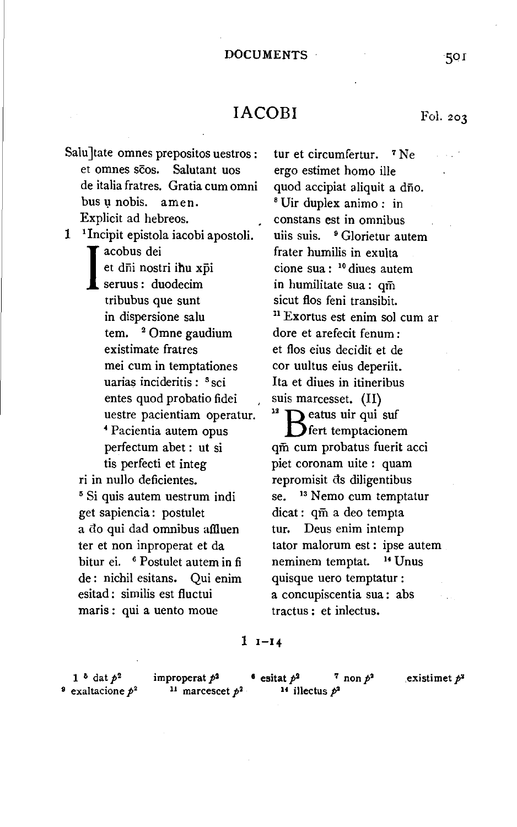# $IACOBI$  Fol. 203

Salu tate omnes prepositos uestros : et omnes scos. Salutant uos de italia fratres. Gratia cum omni bus u nobis. amen. Explicit ad hebreos.

1 1 Incipit epistola iacobi apostoli. acobus dei<br>
et dni nostr<br>
seruus : duc t d<del>hi nostri ihu xpi</del> seruus : duodecim tribubus que sunt in dispersione salu tem. <sup>2</sup> Omne gaudium existimate fratres mei cum in temptationes uarias incideritis : <sup>3</sup> sci entes quod probatio fidei uestre pacientiam operatur. 4 Pacientia autem opus perfectum abet : ut si tis perfecti et integ ri in nullo deficientes. 5 Si quis autem uestrum indi get sapiencia : postulet a do qui dad omnibus affiuen ter et non inproperat et da bitur ei. 6 Postulet autem in fi de : nichil esitans. Qui enim

esitad : similis est fluctui maris : qui a uento moue

tur et circumfertur. 7 Ne ergo estimet homo ille quod accipiat aliquit a dño.<br><sup>8</sup> Uir duplex animo : in constans est in omnibus uiis suis. <sup>9</sup> Glorietur autem frater humilis in exulta cione sua : 10 diues autem in humilitate sua : qm sicut flos feni transibit. 11 Exortus est enim sol cum ar dore et arefecit fenum : et flos eius decidit et de cor uultus eius deperiit. Ita et diues in itineribus suis marcesset. (II)<br><sup>12</sup>  $\sum$  eatus uir qui suf  $\sum$  fert temptacionem qm cum probatus fuerit acci piet coronam uite : quam repromisit ds diligentibus se. <sup>13</sup> Nemo cum temptatur dicat : qm a deo tempta tur. Deus enim intemp tator malorum est : ipse autem neminem temptat. <sup>14</sup> Unus quisque uero temptatur : a concupiscentia sua : abs tractus : et inlectus.

### $1 -14$

<sup>9</sup> exaltacione  $p^2$  <sup>11</sup> marcescet  $p^2$  <sup>14</sup> illectus  $p^2$ 

1<sup>5</sup> dat  $p^2$  improperat  $p^2$  **•** esitat  $p^2$  **7** non  $p^2$  existimet  $p^2$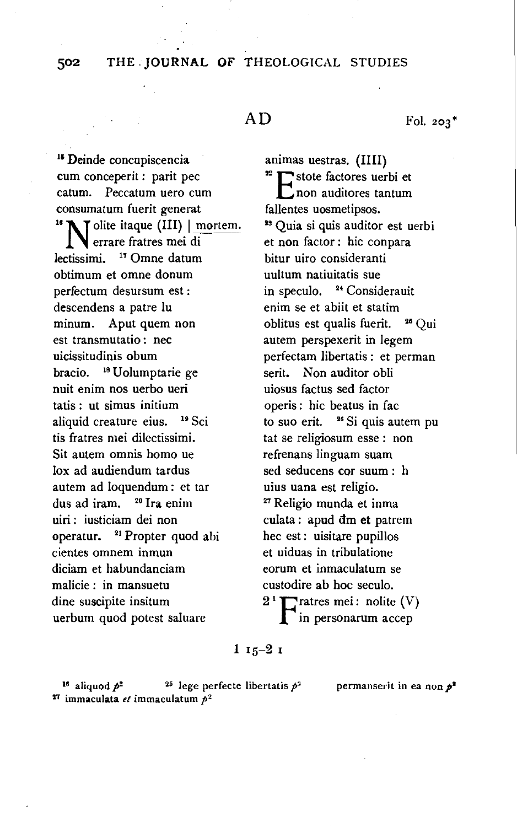502 THE. JOURNAL OF THEOLOGICAL STUDIES

# AD

Fol. 203\*

<sup>15</sup> Deinde concupiscencia cum conceperit : parit pec catum. Peccatum uero cum consumatum fuerit generat<br><sup>16</sup> N I olite itaque (III) | mortem. errare fratres mei di lectissimi. <sup>17</sup> Omne datum obtimum et omne donum perfectum desursum est: descendens a patre lu minum. Aput quem non est transmutatio : nee uicissitudinis obum bracio. 18 Uolumptarie ge nuit enim nos uerbo ueri tatis : ut simus initium aliquid creature eius. <sup>19</sup> Sci tis fratres mei dilectissimi. Sit autem omnis homo ue lox ad audiendum tardus autem ad loquendum : et tar dus ad iram. 20 Ira enim uiri : iusticiam dei non operatur. <sup>21</sup> Propter quod abi cientes omnem inmun diciam et habundanciam malicie : in mansuetu dine suscipite insitum uerbum quod potest saluarc

animas uestras. (IIII) <sup>2</sup> E stote factores uerbi et  $\Gamma$ non auditores tantum fallentes uosmetipsos. 28 Quia si quis auditor est uerbi et non factor: hic conpara bitur uiro consideranti uultum natiuitatis sue in speculo. <sup>24</sup> Considerauit enim se et abiit et statim oblitus est qualis fuerit. 25 Qui autem perspexerit in legem perfectam libertatis : et perman serit. Non auditor obli uiosus factus sed factor operis : hie beatus in fac to suo erit.  $26$  Si quis autem pu tat se religiosum esse : non refrenans linguam suam sed seducens cor suum : h uius uana est religio.<br><sup>27</sup> Religio munda et inma culata: apud dm et patrem hec est : uisitare pupillos et uiduas in tribulatione eorum et inmaculatum se custodire ab hoc seculo.  $2^1$  T ratres mei: nolite (V) in personarum accep

## $115-21$

<sup>16</sup> aliquod  $p^2$  <sup>25</sup> lege perfecte libertatis  $p^2$  permanserit in ea non  $p^2$  $27$  immaculata *et* immaculatum  $p^2$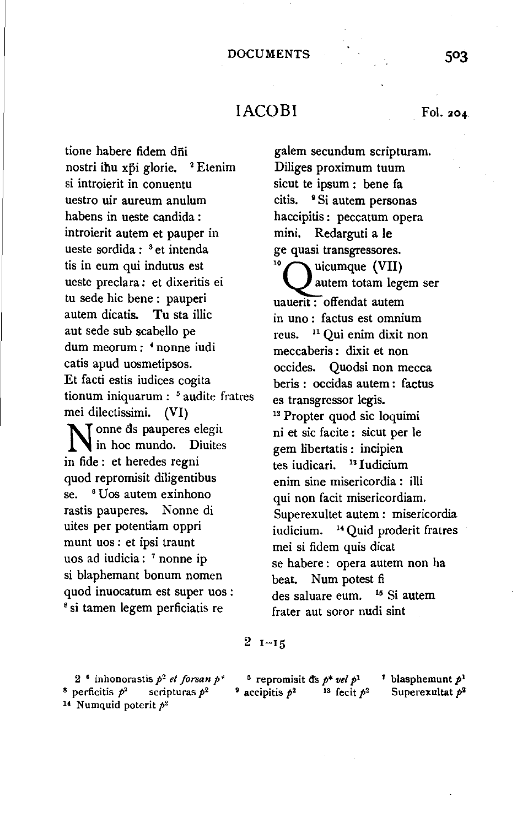# $IACOBI$  Fol. 204.

tione habere fidem dñi nostri ihu xpi glorie. <sup>2</sup> Etenim si introierit in conuentu uestro uir aureum anulum habens in ueste candida : introierit autem et pauper in ueste sordida : 3 et intenda tis in eum qui indutus est ueste preclara: et dixeritis ei tu sede hie bene : pauperi autem dicatis. Tu sta illic aut sede sub scabello pe dum meorum : • nonne iudi catis apud uosmetipsos. Et facti estis iudices cogita tionum iniquarum : 5 audite fratres mei dilectissimi. (VI) N onne ds pauperes elegit in hoc mundo. Diuites in fide : et heredes regni quod repromisit diligentibus se. <sup>6</sup> Uos autem exinhono rastis pauperes. Nonne di uites per potentiam oppri munt uos: et ipsi traunt uos ad iudicia: 7 nonne ip si blaphemant bonum nomen quod inuocatum est super uos:<br><sup>8</sup> si tamen legem perficiatis re

galem secundum scripturam. Diliges proximum tuum sicut te ipsum : bene fa citis. <sup>•</sup> Si autem personas haccipitis : peccatum opera mini. Redarguti a le ge quasi transgressores.<br><sup>10</sup> *<u>Auicumque (VII)</u>* autem totam legem ser uauerit : offendat autem in uno : factus est omnium reus. 11 Qui enim dixit non meccaberis : dixit et non occides. Quodsi non mecca beris : occidas autem : factus es transgressor legis.<br><sup>12</sup> Propter quod sic loquimi ni et sic facite : sicut per le gem libertatis : incipien tes iudicari. <sup>13</sup> Iudicium enim sine misericordia : illi qui non facit misericordiam. Superexultet autem : misericordia iudicium. 14 Quid proderit fratres mei si fidem quis dicat se habere : opera autem non ha beat. Num potest fi des saluare eum. 15 Si autem frater aut soror nudi sint

### $2 - 15$

2 • inhonorastis p*2 et forsan* p·• <sup>8</sup> perficitis  $p^2$  scripturas  $p^2$ <sup>14</sup> Numquid poterit  $p^2$ 

<sup>5</sup> repromisit d's  $p^*$  *vel*  $p^1$  <sup>7</sup> blasphemunt  $p^1$ <br>accipitis  $p^2$  <sup>13</sup> fecit  $p^2$  Superexultat  $p^2$ 

<sup>7</sup> blasphemunt  $p^1$ <br>Superexultat  $p^2$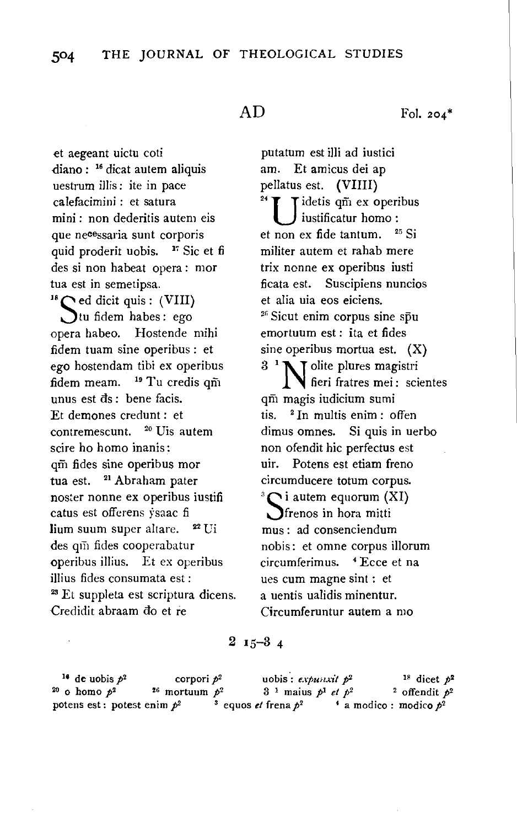# AD

et aegeant uictu coti diano : 16 dicat autem aliquis uestrum illis: ite in pace calefacimini : et satura mini : non dederitis autem eis que necessaria sunt corporis uid proderit uobis.  $\frac{17}{15}$  Sic et fi des si non habeat opera : mor tua est in semetipsa.<br><sup>18</sup> $\bigcap$  ed dicit quis: (VIII) Jtu fidem habes: ego opera habeo. Hostende mihi fidem tuam sine operibus : et ego hostendam tibi ex operibus fidem meam.  $19$  Tu credis qm unus est ds : bene facis. Et demones credunt : et contremescunt. 20 Uis autem scire ho homo inanis: qm fides sine operibus mor tua est. <sup>21</sup> Abraham pater noster nonne ex operibus iustifi catus est offerens ysaac fi lium suum super altare. <sup>22</sup> Ui des qin fides cooperabatur operibus illius. Et ex operibus illius fides consumata est :<br><sup>28</sup> Et suppleta est scriptura dicens. Credidit abraam do et re

Fol. 204\*

putatum est illi ad iustici am. Et amicus dei ap pellatus est. (VIIII) Tidetis qm ex operibus iustificatur homo : et non ex fide tantum. 25 Si militer autem et rahab mere trix ncnne ex operibus iusti ficata est. Suscipiens nuncios et alia uia eos eiciens. 2  $26$  Sicut enim corpus sine spu emortuum est: ita et fides sine operibus mortua est. (X)  $3<sup>1</sup>$  N olite plures magistri fieri fratres mei: scientes qm magis iudicium sumi tis.  $2 \text{ In multis enim : often}$ dimus omnes. Si quis in uerbo non ofendit hie perfectus est uir. Potens est etiam freno

ircumducere totum corpus.<br>Oi autem equorum (XI)  $\sum_{i=1}^{\infty}$  i autem equorum (XI) mus: ad consenciendum nobis: et omne corpus illorum circumferimus. • Ecce et na ues cum magne sint : et a uentis ualidis minentur. Circumferuntur autem a mo

## $2 I_5 - 3 4$

<sup>16</sup> de uobis  $p^2$  corpori  $p^2$  uobis : *expunxit*  $p^2$  <sup>18</sup> dicet  $p^2$ 20 o homo  $p^2$  2<sup>G</sup> mortuum  $p^2$  3<sup>1</sup> maius  $p^1$  *et*  $p^2$  <sup>2</sup> offendit  $p^2$ potens est: potest enim  $p^2$  <sup>3</sup> equos *et* frena  $p^2$  <sup>4</sup> a modico: modico  $p^2$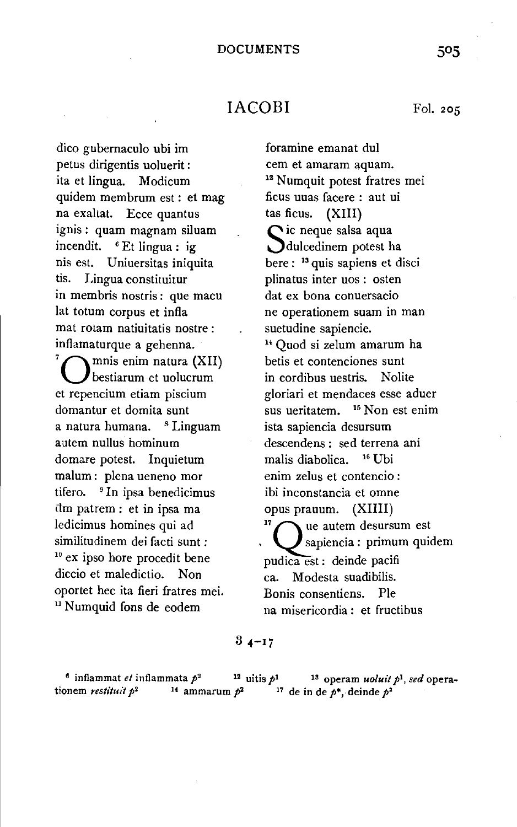## IACOBI

dico gubernacula ubi im petus dirigentis uoluerit : ita et lingua. Modicum quidem membrum est : et mag na exaltat. Ecce quantus ignis: quam magnam siluam incendit. <sup>6</sup> Et lingua : ig nis est. Uniuersitas iniquita tis. Lingua constituitur in membris nostris: que macu lat totum corpus et infla mat rotam natiuitatis nostre : inflamaturque a gehenna. 7 mnis enim natura (XII) bestiarum et uolucrum et repencium etiam piscium domantur et domita sunt a natura humana. <sup>8</sup> Linguam autem nullus hominum domare potest. Inquietum malum : plena ueneno mor tifero. <sup>9</sup> In ipsa benedicimus dm patrem : et in ipsa ma ledicimus homines qui ad similitudinem dei facti sunt :<br> $10$  ex ipso hore procedit bene diccio et maledictio. Non oportet hec ita fieri fratres mei.<br><sup>11</sup> Numquid fons de eodem

# foramine emanat dui cem et amaram aquam. <sup>12</sup> Numquit potest fratres mei ficus uuas facere : aut ui tas ficus. (XIII) Sic neque salsa aqua<br>Sdulcedinem potest ha here : 13 quis sapiens et disci plinatus inter uos : osten dat ex bona conuersacio ne operationem suam in man suetudine sapiencie. <sup>14</sup> Ouod si zelum amarum ha betis et contenciones sunt in cordibus uestris. Nolite gloriari et mendaces esse aduer sus ueritatem. 15 Non est enim ista sapiencia desursum descendens : sed terrena ani malis diabolica. 16 Ubi enim zelus et contencio : ibi inconstancia et omne opus prauum. (XIIII)<br><sup>17</sup> aue autem desursum est sapiencia : primum quidem pudica est : deinde pacifi ea. Modesta suadibilis. Bonis consentiens. Pie na misericordia : et fructibus

### $34 - 17$

<sup>6</sup> inflammat *et* inflammata  $p^2$  <sup>12</sup> uitis  $p^1$  <sup>13</sup> operam *uoluit*  $p^1$ , *sed* operationem *restituit*  $p^2$  <sup>14</sup> ammarum  $p^2$  <sup>17</sup> de in de  $p^*$ , deinde  $p^2$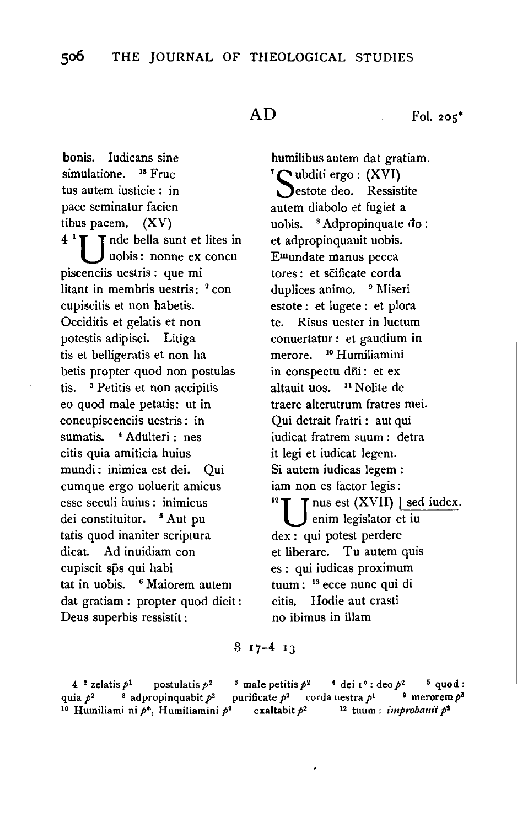$AD$  Fol. 205<sup>\*</sup>

bonis. ludicans sine simulatione. <sup>18</sup> Fruc tus autem iusticie : in pace seminatur facien tibus pacem. (XV)  $4<sup>1</sup>$  T nde bella sunt et lites in uobis: nonne ex concu piscenciis uestris : que mi litant in membris uestris: <sup>2</sup> con cupiscitis et non habetis. Occiditis et gelatis et non potestis adipisci. Litiga tis et belligeratis et non ha betis propter quod non postulas tis. 3 Petitis et non accipitis eo quod male petatis: ut in concupiscenciis uestris: in sumatis. **4 Adulteri : nes** citis quia amiticia huius mundi: inimica est dei. Qui cumque ergo uoluerit amicus esse seculi huius : inimicus dei constituitur. <sup>5</sup> Aut pu tatis quod inaniter scriptura dicat. Ad inuidiam con cupiscit sps qui habi tat in uobis. 6 Maiorem autem dat gratiam : propter quod dicit : Deus superbis ressistit :

humilibus autem dat gratiam.<br> $^7\Gamma$ ubditi ergo : (XVI) estote deo. Ressistite autem diabolo et fugiet a uobis.  $8$  Adpropinquate  $d_0$ : et adpropinquauit uobis. Emundate manus pecca tores : et scificate corda duplices animo. <sup>9</sup> Miseri estote : et lugete : et plora te. Risus uester in luctum conuertatur: et gaudium in merore. 10 Humiliamini in conspectu dni: et ex altauit uos. 11 Nolite de traere alterutrum fratres mei. Qui detrait fratri : aut qui iudicat fratrem suum : detra it legi et iudicat legem. Si autem iudicas legem : iam non es factor legis :<br><sup>12</sup>  $\blacksquare$  T nus est (XVII) | sed iudex. enim legislator et iu dex : qui potest perdere et liberare. Tu autem quis es : qui iudicas proximum tuum : 13 ecce nunc qui di citis. Hodie aut crasti no ibimus in illam

 $317 - 413$ 

4 <sup>2</sup> zelatis  $p^1$  postulatis  $p^2$  <sup>3</sup> male petitis  $p^2$  <sup>4</sup> dei  $1^{\circ}$ : deo  $p^2$  <sup>5</sup> quod : quia  $p^2$  <sup>8</sup> adpropinquabit  $p^2$  purificate  $p^2$  corda uestra  $p^1$  <sup>9</sup> merorem  $p^2$ <sup>10</sup> Humiliami ni  $p^*$ , Humiliamini  $p^2$  exaltabit  $p^2$  <sup>12</sup> tuum: *improbauit*  $p^2$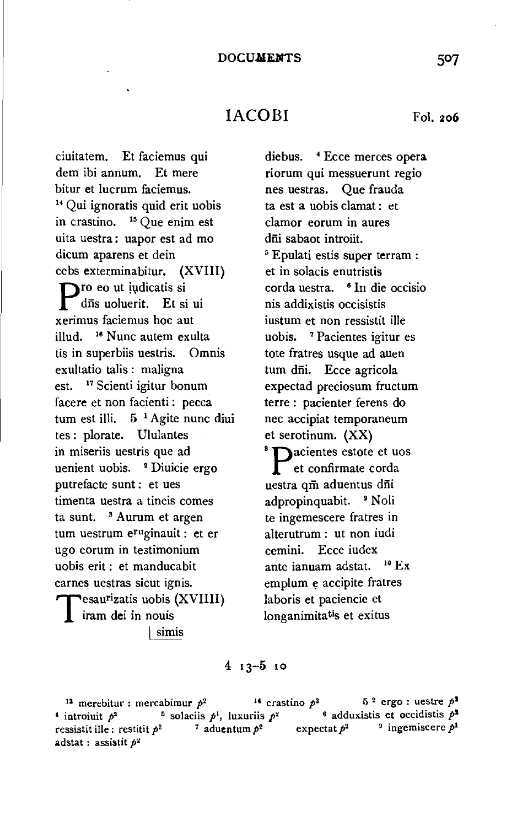# IACOBI Fol. 206

ciuitatem. Et faciemus qui dem ibi annum. Et mere bitur et lucrum faciemus. <sup>14</sup> Qui ignoratis quid erit uobis in crastino. 15 Que enim est uita uestra: uapor est ad mo dicum aparens et dein cebs exterminabitur. (XVIII) **D**ro eo ut iudicatis si dñs uoluerit. Et si ui xerimus faciemus hoc aut i!lud. 16 Nunc autem exulta tis in superbiis uestris. Omnis exultatio talis : maligna est. 17 Scienti igitur bonum facere et non facienti : pecca tum est illi.  $5^{-1}$  Agite nunc diui tes : plorate. Ululantes in miseriis uestris que ad uenient uobis. 2 Diuicie ergo putrefacte sunt: et ues timenta uestra a tineis comes ta sunt. <sup>8</sup> Aurum et argen tum uestrum eruginauit : et er ugo eorum in te3timonium uobis erit : et manducabit carnes uestras sicut ignis. Tesaurizatis uobis (XVIIII) iram dei in nouis simis

diebus. • Ecce merces opera riorum qui messuerunt regio nes uestras. Que frauda ta est a uobis clamat : et clamor eorum in aures dīii sabaot introiit. <sup>5</sup> Epulati estis super terram : et in solacis enutristis corda uestra. <sup>6</sup> In die occisio nis addixistis occisistis iustum et non ressistit ille uobis. 7 Pacientes igitur es tote fratres usque ad auen tum dñi. Ecce agricola expectad preciosum fructum terre : pacienter ferens do nee accipiat temporaneum et serotinum.  $(XX)$ <br><sup>8</sup> **pacientes estote et uos** et confirmate corda uestra qm aduentus dni adpropinquabit. <sup>9</sup> Noli te ingemescere fratres in alterutrum : ut non iudi cemini. Ecce iudex ante ianuam adstat.  $10 \text{ Ex}$ emplum e accipite fratres laboris et paciencie et longanimitatis et exitus

### 4 13-5 10

<sup>13</sup> merebitur : mercabimur  $p^2$  <sup>14</sup> crastino  $p^2$  5<sup>2</sup> ergo : uestre  $p^2$ <sup>4</sup> introiuit  $p^2$  <sup>5</sup> solaciis  $p^1$ , luxuriis  $p^2$ , luxuriis *p•* 6 adduxistis et occidistis *P'*  ressistit ille: restitit  $p^2$  7 aduentum  $p^2$  expectat  $p^2$  <sup>9</sup> ingemiscere  $p^1$ adstat : assistit *p2*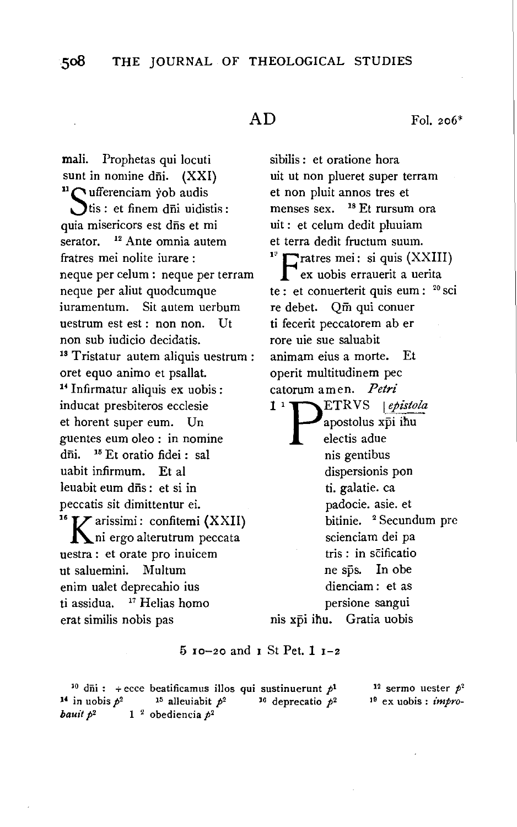mali. Prophetas qui locuti sunt in nomine dñi.  $(XXI)$ <br><sup>11</sup>  $\bigcap$  ufferenciam yob audis  $\sum$ tis : et finem dī $i$ i uidistis : quia misericors est dñs et mi serator. <sup>12</sup> Ante omnia autem fratres mei nolite iurare : neque per celum : neque per terram neque per aliut quodcumque iuramentum. Sit autem uerbum uestrum est est: non non. Ut non sub iudicio decidatis.<br><sup>18</sup> Tristatur autem aliquis uestrum : oret equo animo et psallat. <sup>14</sup> Infirmatur aliquis ex uobis : inducat presbiteros ecclesie et horent super eum. Un guentes eum oleo : in nomine dñi. <sup>16</sup> Et oratio fidei : sal uabit infirmum. Et al leuabit eum dis: et si in peccatis sit dimittentur ei.<br><sup>16</sup>  $\boldsymbol{V}$  arissimi: confitemi (XXII) ni ergo alterutrum peccata uestra : et orate pro inuicem ut saluemini. Multum enim ualet deprecahio ius ti assidua. <sup>17</sup> Helias homo erat similis nobis pas

 $AD$  Fol. 206<sup>\*</sup>

sibilis : et oratione hora uit ut non plueret super terram et non pluit annos tres et menses sex. 18 Et rursum ora uit : et celum dedit pluuiam et terra dedit fructum suum. 1  $\Gamma$  ratres mei: si quis (XXIII) ex uobis errauerit a uerita te : et conuerterit quis eum : <sup>20</sup> sci re debet. Qm qui conuer ti fecerit peccatorem ab er rore uie sue saluabit animam eius a morte. Et operit multitudinem pec catorum amen. *Petri*  1<sup>1</sup> PETRVS *epistola* apostolus xpi ihu electis adue nis gentibus dispersionis pon ti. galatie. ea padocie. asie. et bitinie. <sup>2</sup> Secundum pre scienciam dei pa tris : in scificatio ne sps. In obe dienciam : et as persione sangui nis xpi ihu. Gratia uobis

## $5$  10-20 and 1 St Pet. 1 1-2

<sup>10</sup> dii: + ecce beatificamus illos qui sustinuerunt  $p<sup>1</sup>$ <br><sup>4</sup> in uobis  $p<sup>2</sup>$  <sup>15</sup> alleuiabit  $p<sup>2</sup>$  <sup>16</sup> deprecatio  $p<sup>2</sup>$ <sup>14</sup> in uobis  $p^2$  <sup>15</sup> alleuiabit  $p^2$ <br>**bauit**  $p^2$  1<sup>2</sup> obediencia  $p^2$ 

12 sermo uester *P'* 19 ex uobis : *impro-*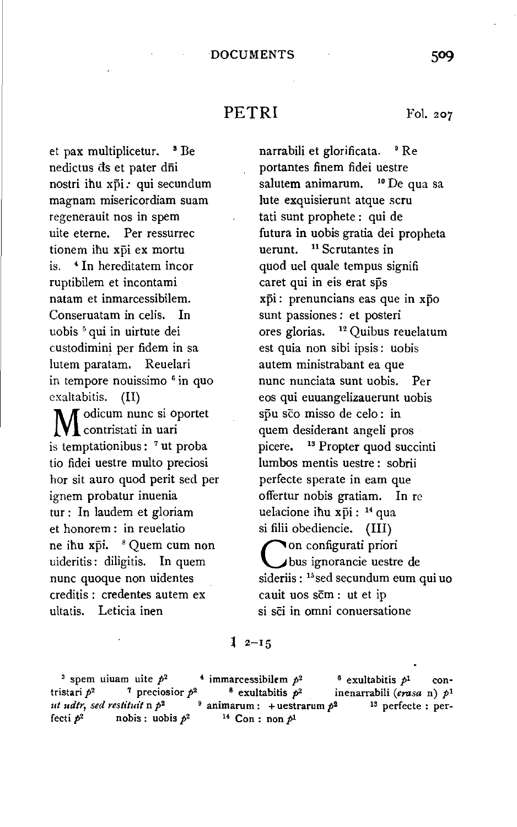## PETRI Fol. 207

et pax multiplicetur. <sup>3</sup> Be nedictus ds et pater dñi nostri ihu xpi: qui secundum magnam misericordiam suam regenerauit nos in spem uite eterne. Per ressurrec tionem ihu xpi ex mortu is. 4 In hereditatem incor ruptibilem et incontami natam et inmarcessibilem. Conseruatam in celis. In uobis 5 qui in uirtute dei custodimini per fidem in sa lutem paratam. Reuelari in tempore nouissimo <sup>6</sup> in quo exaltabitis. (II)

 $\blacksquare$   $\blacksquare$  odicum nunc si oportet contristati in uari is temptationibus: 7 ut proba tio fidei uestre multo preciosi hor sit auro quod perit sed per ignem probatur inuenia tur : In laudem et gloriam et honorem : in reuelatio ne ihu xpi. <sup>8</sup> Quem cum non uideritis: diligitis. In quem nunc quoque non uidentes creditis : credentes autem ex ultatis. Leticia inen

narrabili et glorificata. • Re portantes finem fidei uestre salutem animarum. <sup>10</sup> De qua sa lute exquisierunt atque scru tati sunt prophete : qui de futura in uobis gratia dei propheta uerunt. <sup>11</sup> Scrutantes in quod uel quale tempus signifi caret qui in eis erat sps xpi: prenuncians eas que in xpo sunt passiones : et posteri ores glorias. 12 Quibus reuelatum est quia non sibi ipsis: uobis autem ministrabant ea que nunc nunciata sunt uobis. Per eos qui euuangelizauerunt uobis spu sco misso de celo : in quem desiderant angeli pros picere. <sup>13</sup> Propter quod succinti lumbos mentis uestre : sobrii perfecte sperate in eam que offertur nobis gratiam. In re uelacione ihu xpi: <sup>14</sup> qua si filii obediencie. (III) Con configurati priori bus ignorancie uestre de sideriis: <sup>15</sup> sed secundum eum qui uo cauit uos scm : ut et ip si sci in omni conuersatione

 $12 - 15$ 

<sup>3</sup> spem uiuam uite  $p^2$  <sup>4</sup> immarcessibilem  $p^2$  <sup>6</sup> exultabitis  $p^1$  contristari  $p^2$  <sup>7</sup> preciosior  $p^2$  <sup>8</sup> exultabitis  $p^2$  inenarrabili (erasa n)  $p^1$  $ut$  *udtr*, *sed restituit* n  $p^2$  <sup>9</sup> animarum : + uestrarum  $p^2$  <sup>13</sup> perfecte : perfecti  $p^2$  nobis : uobis  $p^2$  <sup>14</sup> Con : non  $p^1$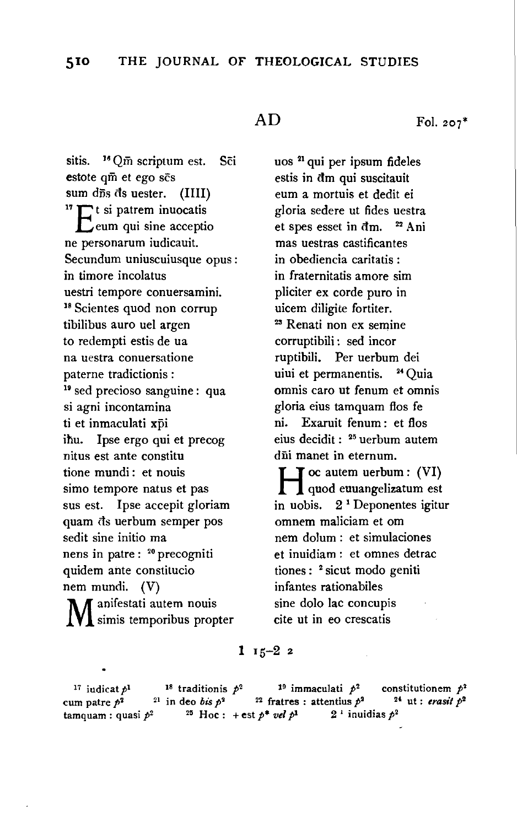sitis.  $^{16}$  Qm scriptum est. Sci estote qm et ego scs sum d $\bar{r}$ s ds uester. (IIII)<br><sup>17</sup> The si patrem inuocatis  $\Box$  eum qui sine acceptio ne personarum iudicauit. Secundum uniuscuiusque opus : in timore incolatus uestri tempore conuersamini. 18 Scientes quod non corrup tibilibus auro uel argen to redempti estis de ua na uestra conuersatione paterne tradictionis : <sup>19</sup> sed precioso sanguine : qua si agni incontamina ti et inmaculati xpi ihu. Ipse ergo qui et precog nitus est ante constitu tione mundi : et nouis simo tempore natus et pas sus est. Ipse accepit gloriam quam ds uerbum semper pos sedit sine initio ma nens in patre : 20 precogniti quidem ante constitucio nem mundi. (V) M anifestati autem nouis simis temporibus propter

uos 21 qui per ipsum fideles estis in dm qui suscitauit eum a mortuis et dedit ei gloria sedere ut fides uestra et spes esset in dm. <sup>22</sup> Ani mas uestras castificantes in obediencia caritatis : in fraternitatis amore sim pliciter ex corde puro in uicem diligite fortiter. 23 Renati non ex semine corruptibili : sed incor ruptibili. Per uerbum dei uiui et permanentis. <sup>24</sup> Quia omnis caro ut fenum et omnis gloria eius tamquam flos fe ni. Exaruit fenum : et flos eius decidit : 25 uerbum autem dii manet in eternum.

H oc autem uerbum : (VI) quod euuangelizatum est in uobis.  $2<sup>1</sup>$  Deponentes igitur omnem maliciam et om nem dolum : et simulaciones et inuidiam : et omnes detrac tiones : <sup>2</sup> sicut modo geniti infantes rationabiles sine dolo lac concupis cite ut in eo crescatis

 $1 \t15-22$ 

<sup>17</sup> iudicat  $p^1$  <sup>18</sup> tradition is  $p^2$  <sup>19</sup> immaculati  $p^2$  constitution em  $p^2$ cum patre  $p^2$  <sup>21</sup> in deo bis  $p^2$  <sup>22</sup> fratres : attentius  $p^2$  <sup>24</sup> ut : *erasit*  $p^2$ tamquam : quasi  $p^2$  <sup>25</sup> Hoc : + est  $p^*$  *vel*  $p^1$  2<sup>1</sup> inuidias  $p^2$ 

 $AD$  Fol. 207<sup>\*</sup>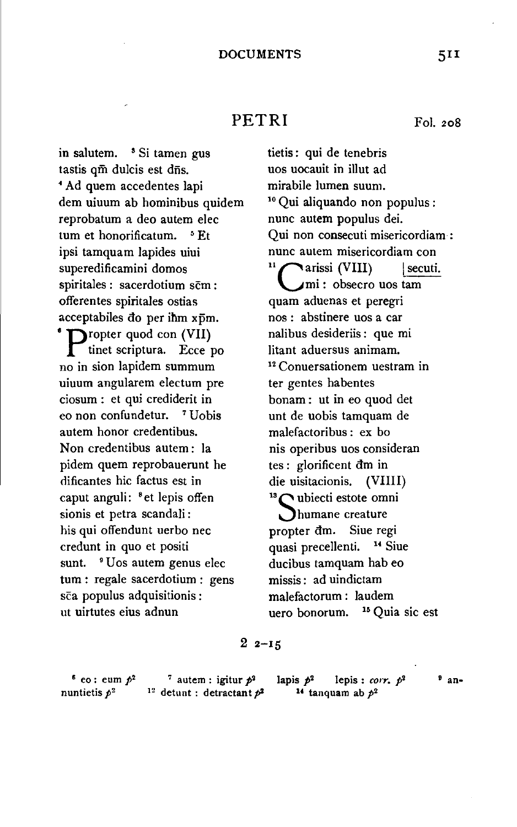## PETRI Fol. 208

in salutem. <sup>5</sup> Si tamen gus tastis qm dulcis est dns. • Ad quem accedentes lapi dem uiuum ab hominibus quidem reprobatum a deo autem elec tum et honorificatum. <sup>5</sup> Et ipsi tamquam Japides uiui superedificamini domos spiritales : sacerdotium scm : offerentes spiritales ostias acceptabiles do per ihm xpm. <sup>\*</sup> **p**ropter quod con (VII) tinet scriptura. Ecce po no in sion lapidem summum uiuum angularem electum pre ciosum : et qui crediderit in eo non confundetur. 7 Uobis autem honor credentibus. Non credentibus autem: la pidem quem reprobauerunt he dificantes hie factus est in caput anguli: <sup>8</sup> et lepis offen sionis et petra scandali : his qui offendunt uerbo nee credunt in quo et positi sunt. <sup>9</sup> Uos autem genus elec tum : regale sacerdotium : gens sca populus adquisitionis :

tietis: qui de tenebris uos uocauit in illut ad mirabile lumen suum.<br><sup>10</sup> Qui aliquando non populus : nunc autem populus dei. Qui non consecuti misericordiam : nunc autem misericordiam con arissi (VIII) | secuti. mi : obsecro uos tam quam aduenas et peregri nos : abstinere uos a car nalibus desideriis : que mi litant aduersus animam.<br><sup>12</sup> Conuersationem uestram in ter gentes habentes bonam : ut in eo quod det unt de uobis tamquam de malefactoribus : ex bo nis operibus uos consideran tes : glorificent dm in die uisitacionis. (VIIII) <sup>13</sup> ubiecti estote omni **Jhumane** creature propter dm. Siue regi quasi precellenti. <sup>14</sup> Siue ducibus tamquam hab eo missis : ad uindictam malefactorum : laudem uero bonorum. <sup>15</sup> Quia sic est

## $22 - 15$

 $6$  eo: eum  $p^2$ nuntietis p*<sup>2</sup>*

ut uirtutes eius adnun

<sup>7</sup> autem : igitur  $p^2$ <sup>12</sup> detunt : detractant  $p^2$  lapis  $p^2$  lepis : *corr.*  $p^2$  <sup>9</sup> an-<sup>14</sup> tanquam ab  $p^2$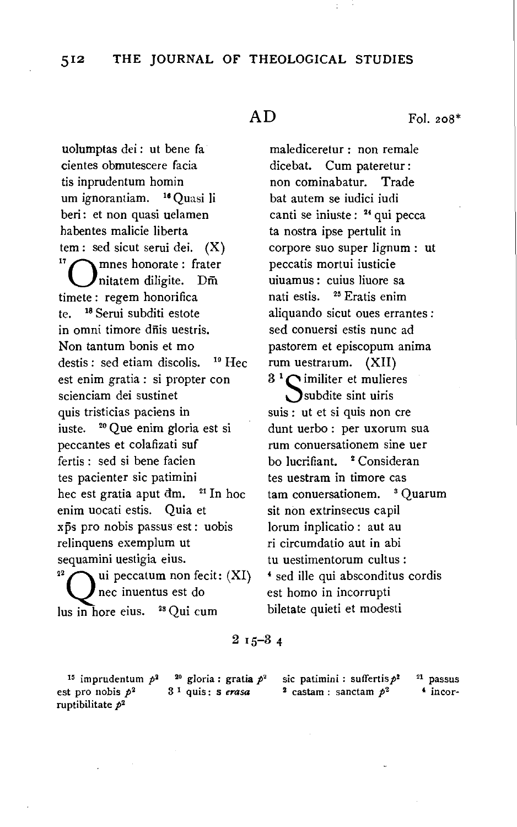uolumptas dei : ut bene fa cientes obmutescere facia tis inprudentum homin um ignorantiam. <sup>16</sup> Quasi li beri: et non quasi uelamen habentes malicie liberta tem: sed sicut serui dei.  $(X)$ <sup>17</sup><br><sup>17</sup> $\bigcap$ mnes honorate: frater Initatem diligite.  $D\bar{m}$ timete : regem honorifica te. 18 Serui subditi estote in omni timore dfiis uestris. Non tantum bonis et mo destis : sed etiam discolis. 19 Hec est enim gratia : si propter con scienciam dei sustinet quis tristicias paciens in iuste. 20 Que enim gloria est si peccantes et colafizati suf fertis : sed si bene facien tes pacienter sic patimini hec est gratia aput  $dm$ . <sup>21</sup> In hoc enim uocati estis. Quia et xps pro nobis passus est: uobis relinquens exemplum ut sequamini uestigia eius.<br><sup>22</sup>  $\bigcap$  ui peccatum non fecit: (XI) nee inuentus est do Ius in hore eius. 28 Qui cum

 $AD$  Fol. 208\*

malediceretur : non remale dice bat. Cum pateretur: non cominabatur. Trade bat autern se iudici iudi canti se iniuste: <sup>24</sup> qui pecca ta nostra ipse pertulit in corpore suo super lignum : ut peccatis mortui iusticie uiuamus: cuius liuore sa nati estis. <sup>25</sup> Eratis enim aliquando sicut oues errantes : sed conuersi estis nunc ad pastorem et episcopum anima rum uestrarum. (XII)

 $3<sup>1</sup>$  militer et mulieres Subdite sint uiris suis : ut et si quis non ere dunt uerbo : per uxorum sua rum conuersationem sine uer bo lucrifiant. <sup>2</sup> Consideran tes uestram in timore cas tam conuersationem. <sup>3</sup> Ouarum sit non extrinsecus capil lorum inplicatio : aut au ri circumdatio aut in abi tu uestimentorum cultus : 4 sed ille qui absconditus cordis est homo in incorrupti biletate quieti et modesti

## $2I5 - 34$

15 imprudentum *p2*  est pro nobis  $p^2$ ruptibilitate  $p^2$ 

20 gloria : gratia *p•*  3 1 quis: s *erasa* 

sic patimini : suffertis  $p^2$  $2$  castam : sanctam  $p^2$ 

 $21$  passus 4 incor-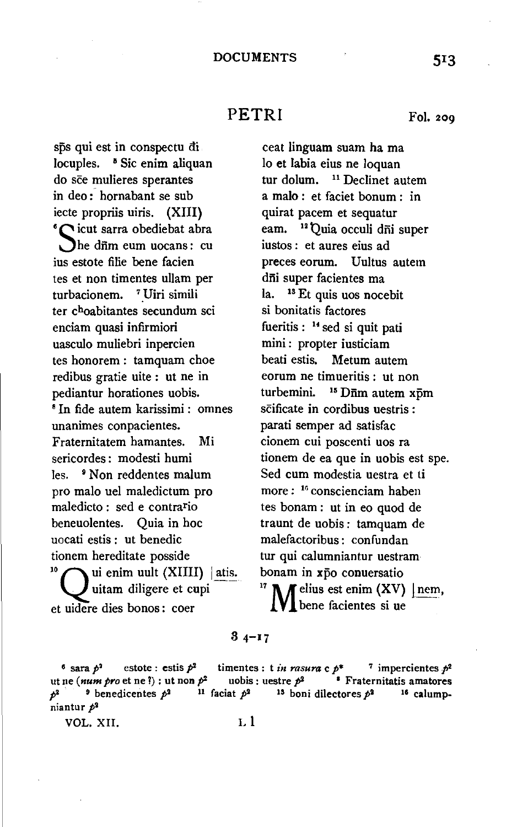## PETRI Fol. 209

sps qui est in conspectu ai locuples. <sup>8</sup> Sic enim aliquan do sce mulieres sperantes in deo: hornabant se sub iecte propriis uiris. (XIII} <sup>6</sup>Cicut sarra obediebat abra he dnm eum uocans: cu ius estote filie bene facien tes et non timentes ullam per turbacionem. <sup>7</sup> Uiri simili ter choabitantes secundum sci enciam quasi infirmiori uasculo muliebri inpercien tes honorem : tamquam choe redibus gratie uite : ut ne in pediantur horationes uobis.<br><sup>8</sup> In fide autem karissimi : omnes unanimes conpacientes. Fraternitatem hamantes. Mi sericordes : modesti humi les. <sup>9</sup> Non reddentes malum pro malo uel maledictum pro maledicto : sed e contrario beneuolentes. Quia in hoc uocati estis : ut benedic tionem hereditate posside<br><sup>10</sup>  $\bigcap$  ui enim uult (XIIII) | atis. uitam diligere et cupi et uidere dies bonos : coer

ceat linguam suam ha ma lo et labia eius ne loquan tur dolum. <sup>11</sup> Declinet autem a malo : et faciet bonum : in quirat pacem et sequatur eam. <sup>12</sup> Quia occuli dñi super iustos : et aures eius ad preces eorum. Uultus autem dñi super facientes ma la. 18 Et quis uos nocebit si bonitatis factores fueritis :  $14$  sed si quit pati mini: propter iusticiam beati estis. Metum autem eorum ne timueritis : ut non turbemini. <sup>15</sup> Dnm autem xpm scificate in cordibus uestris : parati semper ad satisfac cionem cui poscenti uos ra tionem de ea que in uobis est spe. Sed cum modestia uestra et ti more : 16 conscienciam haben tes bonam : ut in eo quod de traunt de uobis: tamquam de malefactoribus : confundan tur qui calumniantur uestram bonam in xp̄o conuersatio<br><sup>17</sup> **N f** elius est enim (XV) | nem, **VI** bene facientes si ue

### $34 - 17$

<sup>6</sup> sara  $p^2$  estote : estis  $p^2$  timentes : t *in rasura* c  $p^*$  <sup>7</sup> impercientes  $p^2$ ut ne  $(num\ pro\ et\ ne\ ?)$ : ut non  $p^2$  uobis : uestre  $p^2$  <sup>1</sup> Fraternitatis amatores  $p^2$  <sup>9</sup> benedicentes  $p^2$  <sup>11</sup> faciat  $p^2$  <sup>13</sup> boni dilectores  $p^2$  <sup>16</sup> calumpniantur  $p^2$ 

VOL. XII. Ll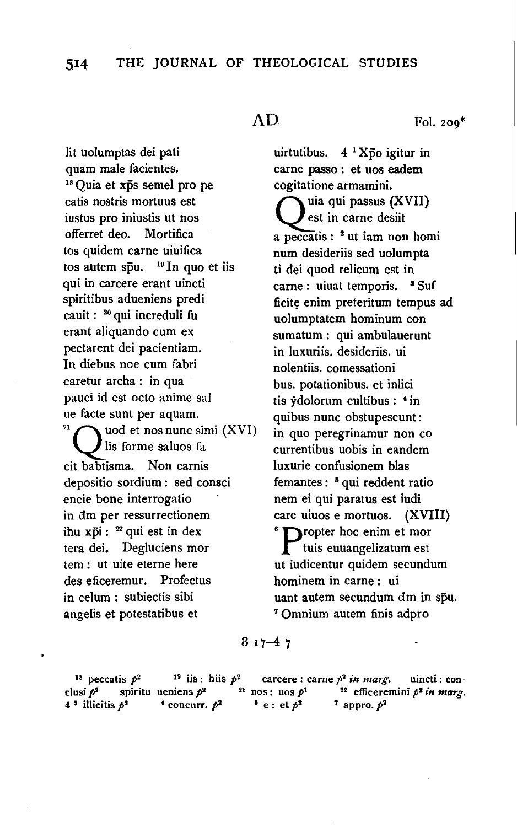lit uolumptas dei pati quam male facientes.<br><sup>18</sup> Quia et xp̃s semel pro pe catis nostris mortuus est iustus pro iniustis ut nos offerret deo. Mortifica tos quidem carne uiuifica tos autem spu.  $19 \text{ In } q$ uo et iis qui in carcere erant uincti spiritibus adueniens predi cauit: 20 qui increduli fu erant aliquando cum ex pectarent dei pacientiam. In diebus noe cum fabri caretur archa : in qua pauci id est octo anime sal ue facte sunt per aquam. lis forme saluos fa cit babtisma. Non carnis depositio sordium : sed consci encie bone interrogatio in dm per ressurrectionem ihu x $\bar{p}$ i:  $22$  qui est in dex tera dei. Degluciens mor tem : ut uite eterne here des eficeremur. Profectus in celum : subiectis sibi angelis et potestatibus et

 $AD$  Fol. 200<sup>\*</sup>

uirtutibus.  $4 \frac{1}{2}$  Xpo igitur in carne passo : et uos eadem cogitatione armamini.<br> $\sum$ uia qui passus (XVII) est in carne desiit a peccatis : 2 ut iam non homi num desideriis sed uolumpta ti dei quod relicum est in carne : uiuat temporis. <sup>3</sup> Suf ficite enim preteritum tempus ad uolumptatem hominum con sumatum : qui ambulauerunt in luxuriis. desideriis. ui nolentiis. comessationi bus. potationibus. et inlici tis ydolorum cultibus : *4* in sunt per aquam.<br> **a** quibus nunc obstupescunt:<br> **a** quot et nos nunc simi  $(XVI)$  in quo peregrinamur non quote in quo peregrinamur non eo currentibus uobis in eandem luxurie confusionem bias femantes : 5 qui reddent ratio nem ei qui paratus est iudi care uiuos e mortuos.  $(XVIII)$ <br><sup>6</sup> propter hoc enim et mor tuis euuangelizatum est ut iudicentur quidem secundum hominem in came : ui uant autem secundum đm in sp̄u.<br>7 Omnium autem finis adpro

 $317 - 47$ 

<sup>18</sup> peccatis  $p^2$  <sup>19</sup> iis: hiis  $p^2$  carcere: carne  $p^2$  *in marg*. uincti: conclusi  $p^2$  spiritu ueniens  $p^2$  <sup>21</sup> nos: uos  $p^1$  <sup>22</sup> efficeremini  $p^2$  *in marg.* 4<sup>3</sup> illicitis  $p^2$  <sup>+</sup> concurr.  $p^2$  <sup>5</sup> e : et  $p^2$  <sup>7</sup> appro.  $p^2$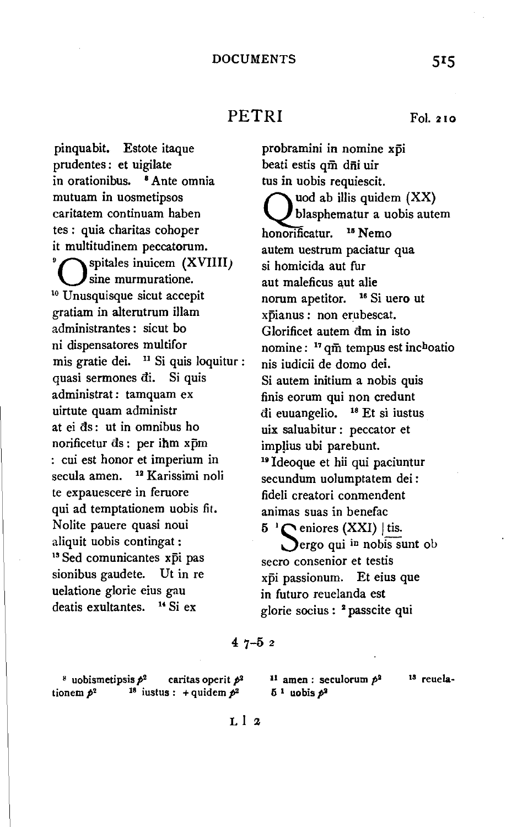# PETRI Fol. 210

pinquabit. Estote itaque prudentes : et uigilate in orationibus. 8 Ante omnia mutuam in uosmetipsos caritatem continuam haben tes : quia charitas cohoper it multitudinem peccatorum. spitales inuicem (XVIIII)  $\sum_{10}$  Unusquisque sicut accepit gratiam in alterutrum illam administrantes : sicut bo ni dispensatores multifor mis gratie dei. <sup>11</sup> Si quis loquitur : quasi sermones di. Si quis administrat : tamquam ex uirtute quam administr at ei ds: ut in omnibus ho norificetur ds: per ihm xpm : cui est honor et imperium in secula amen. <sup>12</sup> Karissimi noli te expauescere in feruore qui ad temptationem uobis fit. Nolite pauere quasi noui aliquit uobis contingat :<br><sup>13</sup> Sed comunicantes xpi pas sionibus gaudete. Ut in re uelatione glorie eius gau deatis exultantes.  $^{14}$  Si ex

probramini in nomine xpi beati estis qm dni uir tus in uobis requiescit. *(\* ~od ab illis quidem (XX) blasphematur a uobis autem honorificatur. 15 Nemo autem uestrum paciatur qua si homicida aut fur aut maleficus aut alie norum apetitor. <sup>16</sup> Si uero ut xpianus : non erubescat. Glorificet autem dm in isto nomine: <sup>17</sup> qm tempus est inc<sup>h</sup>oatio nis iudicii de domo dei. Si autem initium a nobis quis finis eorum qui non credunt ai euuangelio. 18 Et si iustus uix saluabitur : peccator et implius ubi parebunt. <sup>19</sup> Ideoque et hii qui paciuntur secundum uolumptatem dei : fideli creatori conmendent animas suas in benefac  $5^{-1}$  eniores (XXI) | tis.

ergo qui in nobis sunt ob secro consenior et testis xpi passionum. Et eius que in futuro reuelanda est glorie socius : 2 passcite qui

### 4 7-5 2

<sup>8</sup> uobismetipsis  $p^2$  caritas operit  $p^2$ tionem  $p^2$  <sup>18</sup> iustus : + quidem  $p^2$ 

u amen : seculorum *ps*  amen: secu<br>1 uobis 1<sup>9</sup>

13 reuela-

L 1 2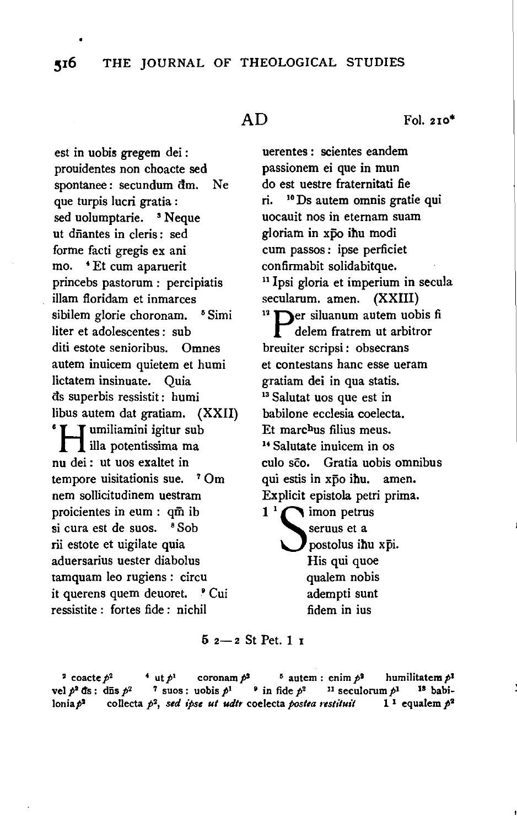est in uobis gregem dei : prouidentes non choacte sed spontanee : secundum dm. Ne que turpis lucri gratia : sed uolumptarie. <sup>3</sup> Neque ut dfiantes in cleris : sed forme facti gregis ex ani mo. 4 Et cum aparuerit princebs pastorum : percipiatis illam fioridam et inmarces sibilem glorie choronam. <sup>5</sup> Simi Iiter et adolescentes : sub diti estote senioribus. Omnes autem inuicem quietem et humi lictatem insinuate. Quia ds superbis ressistit : humi **ibus autem dat gratiam.** (XXII) **i** illa potentissima ma nu dei : ut uos exaltet in tempore uisitationis sue. <sup>7</sup> Om nem sollicitudinem uestram proicientes in eum : qm ib si cura est de suos. <sup>8</sup> Sob rii estote et uigilate quia aduersarius uester diabolus tamquam Ieo rugiens : circu it querens quem deuoret. ' Cui ressistite : fortes fide : nichil

 $AD$  Fol. 210<sup>\*</sup>

uerentes : scientes eandem passionem ei que in mun do est uestre fraternitati fie ri. 10 Ds autem omnis gratie qui uocauit nos in eternam suam gloriam in xpo ihu modi cum passos : ipse perficiet confirmabit solidabitque. 11 <sup>I</sup>psi gloria et imperium in secula secularum. amen. (XXIII)  $n^2$  **P**er siluanum autem uobis fi delem fratrem ut arbitror breuiter scripsi: obsecrans et contestans banc esse ueram gratiam dei in qua statis. 13 Salutat uos que est in babilone ecclesia coelecta. Et marc<sup>h</sup>us filius meus.<br><sup>14</sup> Salutate inuicem in os culo sco. Gratia uobis omnibus qui estis in xpo ihu. amen. Explicit epistola petri prima.  $1<sup>1</sup>$  imon petrus seruus et a postolus ihu xpi. His qui quoe

qualem nobis adempti sunt fidem in ius

## $5$   $2 - 2$  St Pet. 1  $1$

<sup>2</sup> coacte  $p^2$  <sup>4</sup> ut  $p^1$  coronam  $p^2$  <sup>5</sup> autem : enim  $p^2$  humilitatem  $p^1$ vel  $p^2$  ds : diis  $p^2$  7 suos : uobis  $p^1$   $\cdot$  in fide  $p^2$   $\cdot$  11 seculorum  $p^1$   $\cdot$  18 babilonia  $p^2$  collecta  $p^2$ , *sed ipse ut udtr* coelecta *postea restituit* 1<sup>1</sup> equalem  $p^2$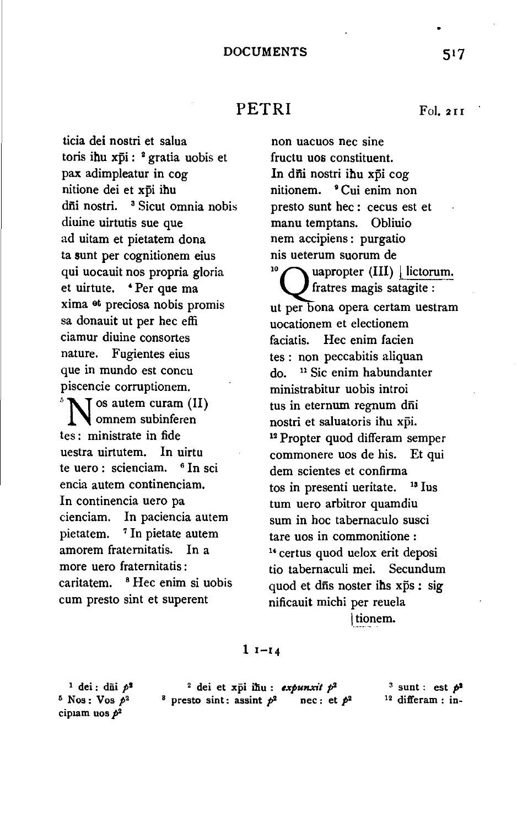## PETRI Fol. 211

ticia dei nostri et salua toris ihu xpi: <sup>2</sup> gratia uobis et pax adimpleatur in cog nitione dei et xpi ihu dii nostri. <sup>3</sup> Sicut omnia nobis diuine uirtutis sue que ad uitam et pietatem dona ta sunt per cognitionem eius qui uocauit nos propria gloria et uirtute. 'Per que ma xima et preciosa nobis promis sa donauit ut per hec effi ciamur diuine consortes nature. Fugientes eius que in mundo est concu piscencie corruptionem. <sup>5</sup>N os autem curam (II) omnem subinferen tes : ministrate in fide uestra uirtutem. In uirtu te uero : scienciam. <sup>6</sup> In sci encia autem continenciam. In continencia uero pa cienciam. In paciencia autem pietatem. 7 In pietate autem amorem fraternitatis. In a more uero fraternitatis : caritatem. <sup>8</sup> Hec enim si uobis cum presto sint et superent

non uacuos nee sine fructu uos constituent. In dñi nostri ihu xpi cog nitionem. <sup>•</sup>Cui enim non presto sunt hec : cecus est et manu temptans. Obliuio nem accipiens : purgatio nis ueterum suorum de<br><sup>10</sup> apropter (III) | lictorum. fratres magis satagite : ut per bona opera certam uestram uocationem et electionem faciatis. Hec enim facien tes : non peccabitis aliquan do. 11 Sic enim habundanter ministrabitur uobis introi tus in eternum regnum dñi nostri et saluatoris ihu xpi. 12 Propter quod differam semper commonere uos de his. Et qui dem scientes et confirma tos in presenti ueritate. 13 Ius tum uero arbitror quamdiu sum in hoc tabernaculo susci tare uos in commonitione :  $<sup>14</sup>$  certus quod uelox erit deposi</sup> tio tabernaculi mei. Secundum quod et dis noster ihs xps : sig nificauit michi per reuela

tionem.

### 1 1-14

 $1$  dei: dūi  $p^2$  $6$  Nos: Vos  $p^2$ cipiam uos  $p^2$ <sup>2</sup> dei et xpi ihu : *expunxit p*<sup>2</sup> 3 sunt : est  $p^2$ <sup>8</sup> presto sint: assint  $p^2$  nee: et  $p^2$  <sup>12</sup> differam : in-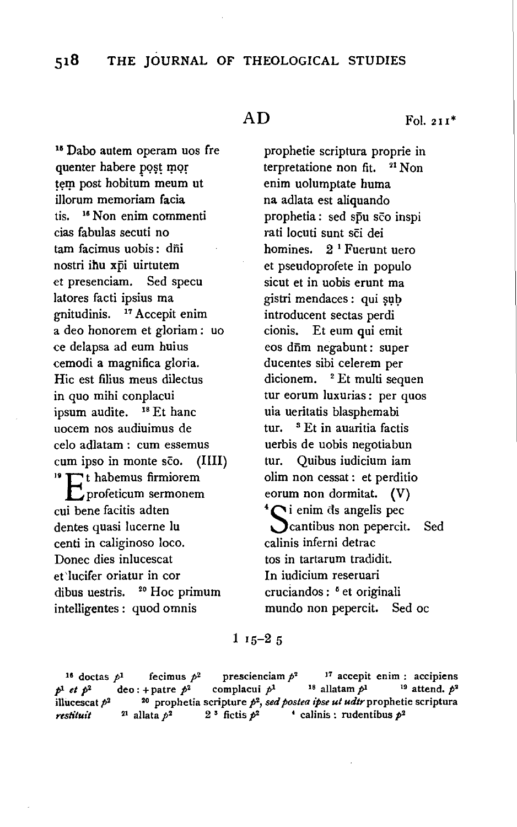15 Dabo autem operam uos fre quenter habere post mor tem post hobitum meum ut illorum memoriam facia tis. 16 Non enim commenti cias fabulas secuti no tam facimus uobis: dni nostri ihu xpi uirtutem et presenciam. Sed specu latores facti ipsius ma gnitudinis. 17 Accepit enim a deo honorem et gloriam : uo ce delapsa ad eum huius cemodi a magnifica gloria. Hie est filius meus dilectus in quo mihi conplacui ipsum audite. 18 Et banc uocem nos audiuimus de celo adlatam : cum essemus cum ipso in monte sco. (IIII)<br><sup>19</sup>  $\Gamma$ <sup>t</sup> habemus firmiorem profeticum sermonem cui bene facitis adten dentes quasi lucerne lu centi in caliginoso loco. Donee dies inlucescat et'lucifer oriatur in cor dibus uestris. 20 Hoc primum intelligentes : quod omnis

 $AD$  Fol. 211<sup>\*</sup>

prophetie scriptura proprie in terpretatione non fit. <sup>21</sup> Non enim uolumptate huma na adlata est aliquando prophetia : sed spu sco inspi rati locuti sunt sci dei homines.  $2<sup>1</sup>$  Fuerunt uero et pseudoprofete in populo sicut et in uobis erunt ma gistri mendaces : qui șub introducent sectas perdi cionis. Et eum qui emit eos dfim negabunt: super ducentes sibi celerem per dicionem. <sup>2</sup> Et multi sequen tur eorum luxurias: per quos uia ueritatis blasphemabi tur. <sup>8</sup> Et in auaritia factis uerbis de uobis negotiabun tur. Quibus iudicium iam olim non cessat : et perditio eorum non dormitat.  $(V)$ <sup>4</sup>  $\bigcap$  i enim ds angelis pec **Cantibus non pepercit.** Sed calinis inferni detrac tos in tartarum tradidit. In iudicium reseruari cruciandos : <sup>5</sup> et originali mundo non pepercit. Sed oc

 $115-25$ 

<sup>16</sup> doctas  $p^1$  fecimus  $p^2$  prescienciam  $p^2$  <sup>17</sup> accepit enim : accipiens  $p^1$  *et*  $p^2$  deo: + patre  $p^2$  complacui  $p^1$  <sup>18</sup> allatam  $p^1$  <sup>19</sup> attend.  $p^2$ illucescat  $p^2$  <sup>20</sup> prophetia scripture  $p^2$ , *sed postea ipse ut udtr* prophetie scriptura *restituit* <sup>21</sup> allata  $p^2$  2<sup>3</sup> fictis  $p^2$  <sup>4</sup> calinis : rudentibus  $p^2$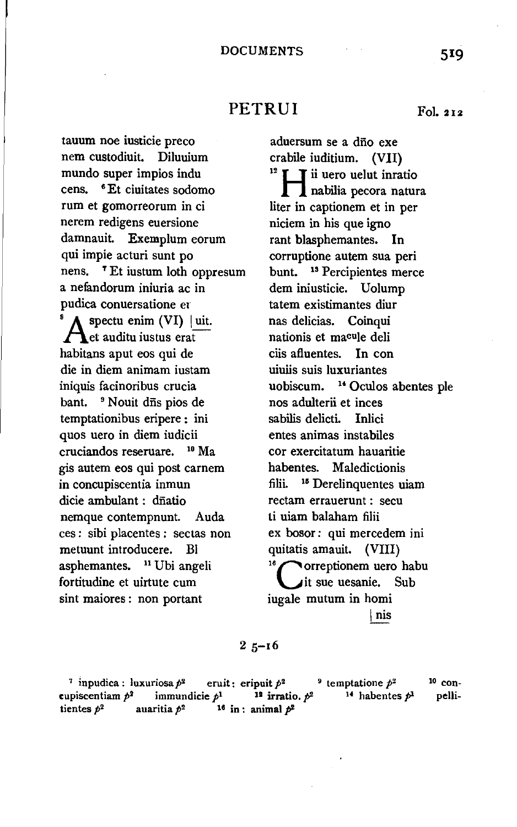## PETRUI Fol. 212

tauum noe iusticie preco nem custodiuit. Diluuium mundo super impios indu cens. 6 Et ciuitates sodomo rum et gomorreorum in ci nerem redigens euersione damnauit. Exemplum eorum qui impie acturi sunt po nens. ' Et iustum loth oppresum a nefandorum iniuria ac in pudica conuersatione er  $\sqrt{\frac{1}{\pi}}$  spectu enim (VI) | uit.  $\bigcap$  et auditu iustus erat habitans aput eos qui de die in diem animam iustam uiuiis suis luxuriantes iniquis facinoribus crucia bant. <sup>9</sup> Nouit dns pios de temptationibus eripere : ini quos uero in diem iudicii cruciandos reseruare. 10 Ma gis autem eos qui post carnem in concupiscentia inmun dicie ambulant : dñatio nemque contempnunt. Auda ces : sibi placentes : sectas non metuunt introducere. Bl asphemantes. <sup>11</sup> Ubi angeli fortitudine et uirtute cum sint maiores : non portant

aduersum se a dño exe crabile iuditium. (VII)<br><sup>12</sup>  $\mathbf{I}$  **T** ii uero uelut inratio nabilia pecora natura liter in captionem et in per niciem in his que igno rant blasphemantes. In corruptione autem sua peri bunt. 13 Percipientes merce dem iniusticie. Uolump tatem existimantes diur nas delicias. Coinqui nationis et macule deli ciis afluentes. In con uobiscum. <sup>14</sup> Oculos abentes ple nos adulterii et inces sabilis delicti. Inlici entes animas instabiles cor exercitatum hauaritie habentes. Maledictionis filii. 15 Derelinquentes uiam rectam errauerunt : secu ti uiam balaham filii ex bosor: qui mercedem ini quitatis amauit. (VIII)<br><sup>16</sup>correptionem uero habu it sue uesanie. Sub iugale mutum in homi I nis

 $25 - 16$ 

<sup>7</sup> inpudica : luxuriosa  $p^2$  eruit: eripuit  $p^2$  <sup>9</sup> temptatione  $p^2$ cupiscentiam  $p^2$  immundicie  $p^1$  <sup>12</sup> irratio.  $p^2$  <sup>14</sup> habentes  $p^1$ tientes  $p^2$  auaritia  $p^2$  <sup>16</sup> in : animal  $p^2$ 10 conpelli-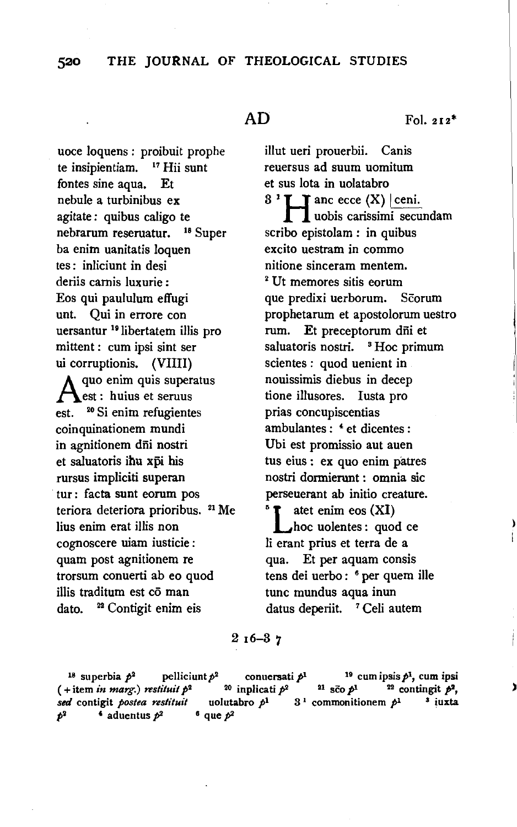## 520 THE JOURNAL OF THEOLOGICAL STUDIES

uoce loquens : proibuit prophe te insipientiam. 17 Hii sunt fontes sine aqua. Et nebule a turbinibus ex agitate : quibus caligo te nebrarum reseruatur. 18 Super ba enim uanitatis loquen tes: inliciunt in desi deriis carnis Iuxurie : Eos qui paululum effugi unt. Qui in errore con uersantur 19 libertatem illis pro mittent : cum ipsi sint ser ui corruptionis. (VIlli)  $\Lambda$  quo enim quis superatus est: huius et seruus est. <sup>20</sup> Si enim refugientes coinquinationem mundi in agnitionem dni nostri et saluatoris ihu xpi his rursus impliciti superan tur : facta sunt eorum pos teriora deteriora prioribus. <sup>21</sup> Me lius enim erat illis non cognoscere uiam iusticie : quam post agnitionem re trorsum conuerti ab eo quod illis traditum est co man dato. <sup>22</sup> Contigit enim eis

 $AD$  Fol. 212<sup>\*</sup>

illut ueri prouerbii. Canis reuersus ad suum uomitum et sus Iota in uolatabro  $3<sup>1</sup>$  **H** anc ecce (X) ceni. **II** uobis carissimi secundam scribo epistolam : in quibus excito uestram in commo nitione sinceram mentem.<br><sup>2</sup> Ut memores sitis eorum que predixi uerborum. Scorum prophetarum et apostolorum uestro rum. Et preceptorum dñi et saluatoris nostri. <sup>8</sup> Hoc primum scientes : quod uenient in nouissimis diebus in decep tione illusores. Justa pro prias concupiscentias ambulantes :  $4$  et dicentes : Ubi est promissio aut auen tus eius : ex quo enim patres nostri dormierunt : omnia sic perseuerant ab initio creature. atet enim eos (XI) hoc uolentes : quod ce li erant prius et terra de a qua. Et per aquam consis tens dei uerbo : 6 per quem ille tunc mundus aqua inun datus deperiit. <sup>7</sup> Celi autem

## 2 16-3 *'1*

 $19$  superbia  $12$  pelliciunt  $12$  conuersative  $19$  cumipsis AL cum ipsi (+item *in mart:.) restituit* p2 2o inplicati p2 21 sco pt 22 contingit pi,  $\frac{d}{dx}$  contigit *postea restituit* uolutabro  $p^1$  3<sup>1</sup> commonitionem  $p^1$  <sup>5</sup> iuxta p2 4 aduentus  $p^2$  6 que  $p^2$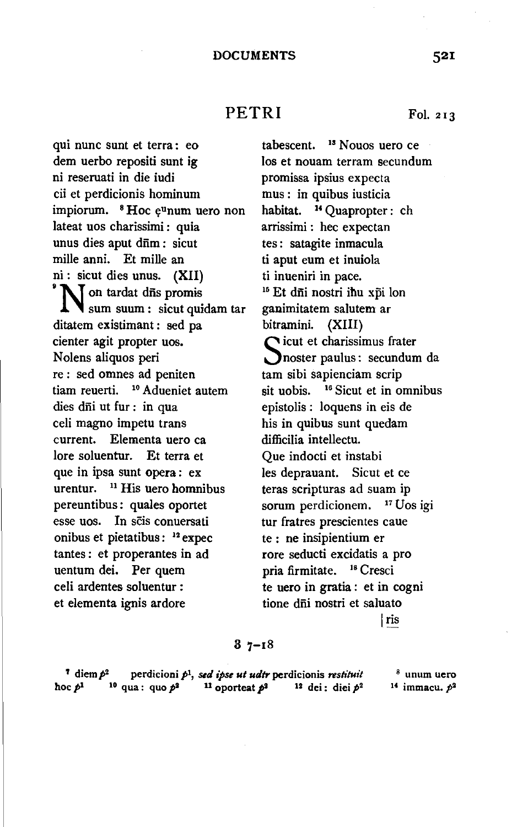## PETRI Fol. 213

qui nunc sunt et terra: eo dem uerbo repositi sunt ig ni reseruati in die iudi cii et perdicionis hominum impiorum.  ${}^8$  Hoc  $e^{\text{u}}$ num uero non lateat uos charissimi : quia unus dies aput drīm : sicut mille anni. Et mille an ni : sicut dies unus.  $(XII)$ <br>  $\sum$  on tardat d $\overline{n}$ s promis sum suum : sicut quidam tar ditatem existimant : sed pa cienter agit propter uos. Nolens aliquos peri re : sed omnes ad peniten tiam reuerti. 10 Adueniet autem dies dni ut fur : in qua celi magno impetu trans current. Elementa uero ea lore soluentur. Et terra et que in ipsa sunt opera : ex urentur.  $11$  His uero homnibus pereuntibus: quales oportet esse uos. In scis conuersati onibus et pietatibus : 12 expec tantes : et properantes in ad uentum dei. Per quem celi ardentes soluentur : et elementa ignis ardore

Ios et nouam terram secundum promissa ipsius expecta mus : in quibus iusticia habitat. 14 Quapropter : eh arrissimi : hec expectan tes : satagite inmacula ti aput eum et inuiola ti inueniri in pace.<br><sup>15</sup> Et d<del>i</del>ii nostri ihu xpi lon ganimitatem salutem ar bitramini. (XIII) Sicut et charissimus frater<br>
Snoster paulus: secundum da  $\bigcap$  icut et charissimus frater tam sibi sapienciam scrip sit uobis. <sup>16</sup> Sicut et in omnibus epistolis : loquens in eis de his in quibus sunt quedam difficilia intellectu. Que indocti et instabi les deprauant. Sicut et ce teras scripturas ad suam ip sorum perdicionem. <sup>17</sup> Uos igi tur fratres prescientes caue te : ne insipientium er rore seducti excidatis a pro pria firmitate. 18 Cresci te uero in gratia : et in cogni

tabescent. <sup>13</sup> Nouos uero ce

Iris

tione dñi nostri et saluato

### $37 - 18$

<sup>7</sup> diem  $p^2$  perdicioni  $p^1$ , *sed ipse ut udtr* perdicionis *restituit* hoc  $p<sup>1</sup>$  <sup>10</sup> qua : quo  $p<sup>2</sup>$  <sup>11</sup> oporteat  $p<sup>2</sup>$  <sup>12</sup> dei : diei  $p<sup>2</sup>$ <sup>8</sup> unum uero If immacu. *p2*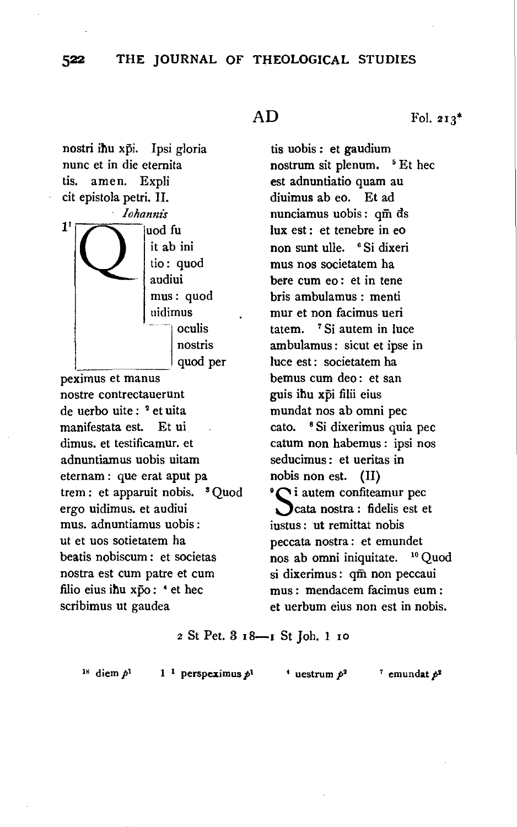## 522 THE JOURNAL OF THEOLOGICAL STUDIES

nostri ihu xpi. Ipsi gloria nunc et in die etemita tis. amen. Expli cit epistola petri. II. *lohanm's*  1 uod fu it ab ini tio: quod audiui mus: quod uidimus oculis nostris

quod per peximus et manus nostre contrectauerunt de uerbo uite : 2 et uita manifestata est. Et ui dimus. et testificamur. et adnuntiamus uobis uitam eternam : que erat aput pa trem : et apparuit nobis. 3 Quod ergo uidimus. et audiui mus. adnuntiamus uobis: ut et uos sotietatem ha beatis nobiscum : et societas nostra est cum patre et cum filio eius ihu xpo: <sup>4</sup> et hec scribimus ut gaudea

tis nobis: et gaudium nostrum sit plenum. <sup>5</sup> Et hec est adnuntiatio quam au diuimus ab eo. Et ad nunciamus uobis: qm ds lux est : et tenebre in eo non sunt ulle. 6 Si dixeri mus nos societatem ha here cum eo : et in tene bris ambulamus : menti mur et non facimus ueri tatem. 7 Si autem in luce ambulamus : sicut et ipse in luce est: societatem ha bemus cum deo : et san guis ihu xpi filii eius mundat nos ab omni pec cato. 8 Si dixerimus quia pec catum non habemus : ipsi nos seducimus : et ueritas in nobis non est. (II)<br>  ${}^{\circ}\mathbb{C}$  i autem confiteamur pec cata nostra : fidelis est et iustus : ut remittat nobis peccata nostra: et emundet nos ab omni iniquitate. 10 Quod si dixerimus: qm non peccaui m us : mendacem facimus eum : et uerbum eius non est in nobis.

2 St Pet. 3 18-1 St Joh. 1 10

<sup>18</sup> diem  $p<sup>1</sup>$ 

1<sup>1</sup> perspeximus  $p<sup>1</sup>$  <sup>4</sup> uestrum  $p<sup>2</sup>$ <sup>7</sup> emundat  $p<sup>2</sup>$ 

 $AD$  Fol. 213<sup>\*</sup>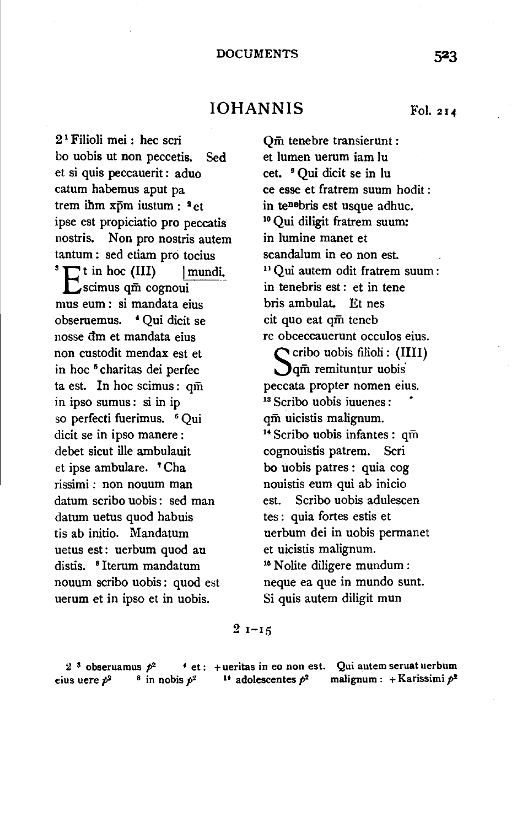## IOHANNIS Fol. 214

2 1 Filioli mei : hec scri bo uobis ut non peccetis. Sed et si quis peccauerit : aduo catum habemus aput pa trem ihm xpm iustum : <sup>3</sup> et ipse est propiciatio pro peccatis nostris. Non pro nostris autem tantum : sed etiam pro tocius  $\sum$  t in hoc (III)  $\quad$  | mundi.  $\sum$ scimus qm cognoui mus eum : si mandata eius obseruemus. *4* Qui dicit se nosse dm et mandata eius non custodit mendax est et in hoc 5 charitas dei perfec ta est. In hoc scimus: qm in ipso sumus : si in ip so perfecti fuerimus. <sup>6</sup> Qui dicit se in ipso manere : debet sicut ille ambulauit et ipse ambulare. 7 Cha rissimi : non nouum man datum scribo uobis: sed man datum uetus quod habuis tis ab initio. Mandatum uetus est: uerbum quod au distis. 8 Iterum mandatum nouum scribo uobis: quod est uerum et in ipso et in uobis.

et lumen uerum iam lu cet. 9 Qui dicit se in lu ce esse et fratrem suum hodit : in tenebris est usque adhuc. 10 Qui diligit fratrem suum: in lumine manet et scandalum in eo non est.<br><sup>11</sup> Qui autem odit fratrem suum : in tenebris est : et in tene bris ambulat. Et nes cit quo eat qm teneb re obceccauerunt occulos eius.  $\bigcap$  cribo uobis filioli: (IIII) **O**qm remituntur uobis peccata propter nomen eius.<br><sup>18</sup> Scribo uobis iuuenes: qm uicistis malignum.<br><sup>14</sup> Scribo uobis infantes : qm cognouistis patrem. Scri bo uobis patres : quia cog nouistis eum qui ab inicio est. Scribo uobis adulescen tes : quia fortes estis et uerbum dei in uobis permanet et uicistis malignum.<br><sup>16</sup> Nolite diligere mundum: neque ea que in mundo sunt.

Si quis autem diligit mun

Qm tenebre transierunt :

 $2 - 15$ 

2<sup>3</sup> obseruamus  $p^2$  4 et : + ueritas in eo non est. Qui autem seruat uerbum eius uere  $p^2$  8 in nobis  $p^2$  <sup>14</sup> adolescentes  $p^2$  malignum : + Karissimi  $p^2$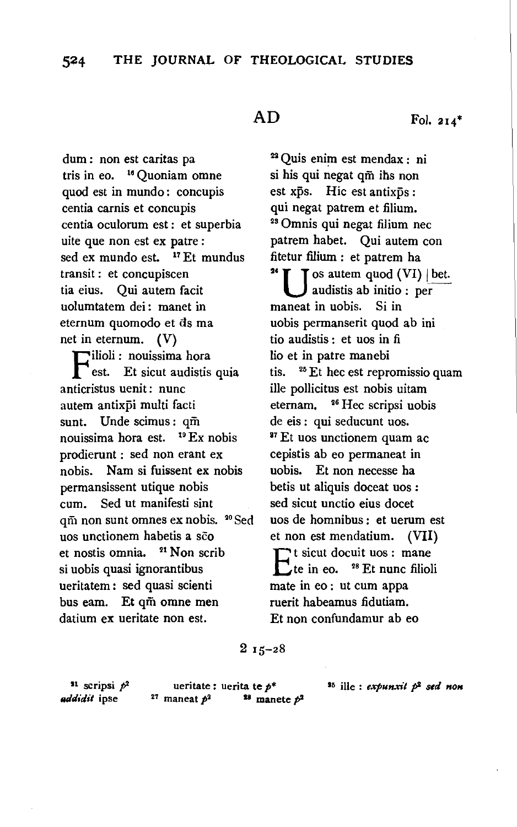dum : non est caritas pa tris in eo. 18 Quoniam omne quod est in mundo: concupis centia carnis et concupis centia oculorum est : et superbia uite que non est ex patre : sed ex mundo est.  $17$  Et mundus transit : et concupiscen tia eius. Qui autem facit uolumtatem dei: manet in eternum quomodo et ds ma net in eternum. (V)

Filioli: nouissima hora est. Et sicut audistis quia anticristus uenit: nunc autem antixpi multi facti sunt. Unde scimus: qm nouissima hora est. 19 Ex nobis prodierunt : sed non erant ex nobis. Nam si fuissent ex nobis permansissent utique nobis cum. Sed ut manifesti sint qm non sunt omnes ex nobis. <sup>20</sup> Sed uos unctionem habetis a sco et nostis omnia. 21 Non scrib si uobis quasi ignorantibus ueritatem : sed quasi scienti bus eam. Et qm omne men datium ex ueritate non est.

 $AD$  Fol. 214<sup>\*</sup>

22 Quis enim est mendax : ni si his qui negat qm ihs non est xps. Hic est antixps : qui negat patrem et filium.<br><sup>23</sup> Omnis qui negat filium nec patrem habet. Qui autem con fitetur filium : et patrem ha<br><sup>24</sup>  $\blacksquare$  T os autem quod (VI) | bet. audistis ab initio : per maneat in uobis. Si in uobis permanserit quod ab ini tio audistis : et uos in fi Iio et in patre manebi tis. 25 Et hec est repromissio quam ille pollicitus est nobis uitam eternam. 26 Hec scripsi uobis de eis : qui seducunt uos.<br><sup>27</sup> Et uos unctionem quam ac cepistis ab eo permaneat in uobis. Et non necesse ha betis ut aliquis doceat uos : sed sicut unctio eius docet uos de homnibus : et uerum est et non est mendatium. (VII)  $E_t$ <sup>t</sup> sicut docuit uos: mane<br>  $E_t$  in eo. <sup>28</sup> Et nunc filiol <sup>28</sup> Et nunc filioli mate in eo : ut cum appa ruerit habeamus fidutiam. Et non confundamur ab eo

## 2 15-28

 $11$  scripsi  $p<sup>2</sup>$ *addidit* ipse

ueritate: uerita te  $p^*$ <br><sup>27</sup> maneat  $p^2$  <sup>13</sup> manete  $p^2$ 

15 ille : *expunxit* p2 *std* HOH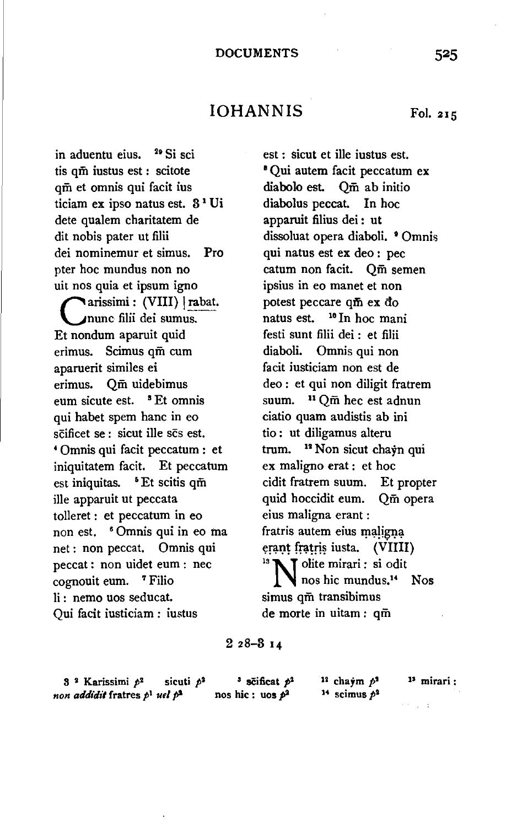# IOHANNIS Fol. 215

in aduentu eius. <sup>29</sup> Si sci tis qm iustus est : scitote qm et omnis qui facit ius ticiam ex ipso natus est. 3 1 Ui dete qualem charitatem de dit nobis pater ut filii dei nominemur et simus. Pro pter hoc mundus non no uit nos quia et ipsum igno arissimi : (VIII) | rabat. nunc filii dei sumus. Et nondum aparuit quid erimus. Scimus qm cum aparuerit similes ei erimus. Qm uidebimus eum sicute est. <sup>s</sup>Et omnis qui habet spem banc in eo scificet se : sicut ille scs est. • Omnis qui facit peccatum : et iniquitatem facit. Et peccatum est iniquitas. • Et scitis qm ille apparuit ut peccata tolleret : et peccatum in eo non est. 6 Omnis qui in eo ma net : non peccat. Omnis qui peccat : non uidet eum : nee cognouit eum. 7 Filio li : nemo uos seducat. Qui facit iusticiam : iustus

est : sicut et ille iustus est.<br><sup>8</sup> Qui autem facit peccatum ex diabolo est. Qm ab initio diabolus peccat. In hoc apparuit filius dei : ut dissoluat opera diaboli. <sup>•</sup> Omnis qui natus est ex deo : pec catum non facit. Qm semen ipsius in eo manet et non potest peccare qm ex do natus est. <sup>16</sup> In hoc mani festi sunt filii dei : et filii diaboli. Omnis qui non facit iusticiam non est de deo : et qui non diligit fratrem suum. 11 Qm hec est adnun ciatio quam audistis ab ini tio : ut diligamus alteru trum. 12 Non sicut chayn qui ex maligno erat : et hoc cidit fratrem suum. Et propter quid hoccidit eum. Qm opera eius maligna erant : fratris autem eius maligna erant fratris iusta. (VIIII).<br><sup>18</sup> N I olite mirari: si odit nos hie mundus.14 Nos simus qm transibimus de morte in uitam : qm

### 2 28-3 14

3 2 Karissimi *pt* sicuti *p1 non addidit* fratres p<sup>1</sup> uel p<sup>2</sup>

<sup>3</sup> scificat  $p^2$ nos hie : uos  $p^2$ 

12 chaym p*<sup>2</sup>* <sup>14</sup> scimus  $p^2$  1• mirari: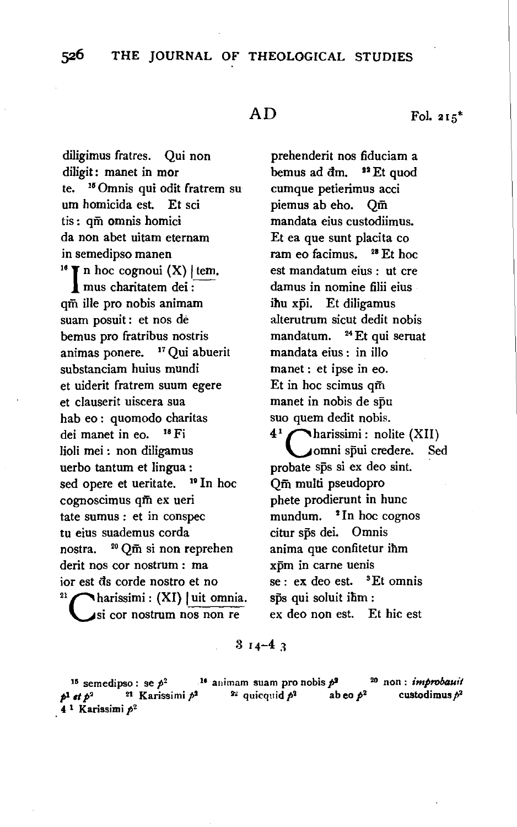diligimus fratres. Qui non diligit: manet in mor te. 15 Omnis qui odit fratrem su urn homicida est. Et sci tis : qm omnis homici da non abet uitam eternam in semedipso manen<br><sup>16</sup> I n hoc cognoui (X) | tem. mus charitatem dei : qm ille pro nobis animam suam posuit : et nos de bemus pro fratribus nostris animas ponere. <sup>17</sup> Qui abuerit substanciam huius mundi et uiderit fratrem suum egere et clauserit uiscera sua hab eo : quomodo charitas dei manet in eo. <sup>18</sup> Fi Iioli mei : non diligamus uerbo tantum et lingua : sed opere et ueritate. <sup>19</sup> In hoc cognoscimus qm ex ueri tate sumus : et in conspec tu eius suademus corda nostra. 20 Qm si non reprehen derit nos cor nostrum : ma ior est dis corde nostro et no<br><sup>21</sup> charissimi: (XI) | uit omnia. si cor nostrum nos non re

prehenderit nos fiduciam a bemus ad  $dm$ .  $11$  Et quod cumque petierimus acci piemus ab eho. Qm mandata eius custodiimus. Et ea que sunt placita co ram eo facimus. 28 Et hoc est mandatum eius : ut ere damus in nomine filii eius ihu xpi. Et diligamus alterutrum sicut dedit nobis mandatum. <sup>24</sup> Et qui seruat mandata eius : in illo manet : et ipse in eo. Et in hoc scimus qm manet in nobis de spu suo quem dedit nobis.  $4^1$  charissimi: nolite (XII) omni spui credere. Sed probate sps si ex deo sint. Qm multi pseudopro phete prodierunt in hunc mundum.  $\degree$  In hoc cognos citur sps dei. Omnis anima que confitetur ihm xpm in carne uenis  $se: ex$  deo est.  ${}^{3}Et$  omnis sps qui soluit ihm : ex deo non est. Et hie est

### $314 - 43$

15 semedipso : se *p2* 11 animam suam pro nobis pi 20 non : *improbauit*  p<sup>19</sup> semedipso:  $\frac{p^2}{2}$  **21** animam suam pro noois  $p^2$  **b**  $\frac{p^2}{2}$  custodimus  $p^2$  $p^1$  et  $p^2$  <sup>21</sup> Karissimi  $p^2$ <br>4<sup>1</sup> Karissimi  $p^2$ 

 $\mathbf{E}$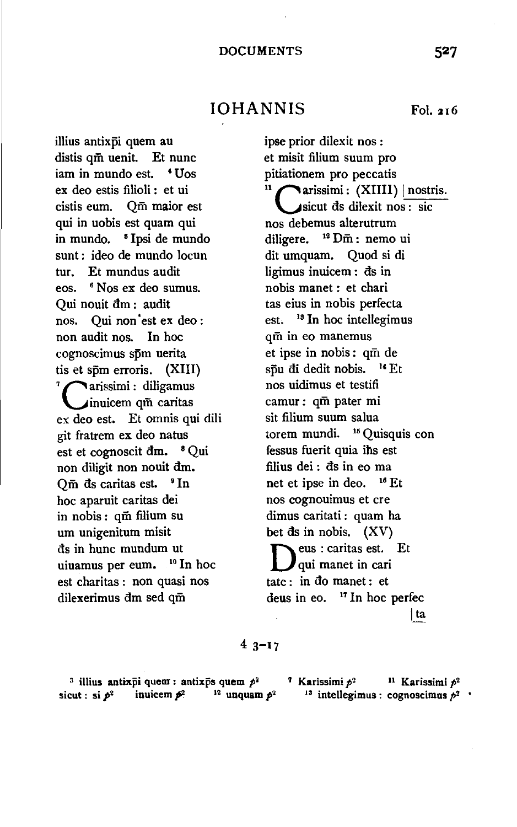IOHANNIS Fol. 216

illius antixpi quem au distis qm uenit. Et nunc iam in mundo est. **'Uos** ex deo estis filioli : et ui cistis eum. Qm maior est qui in uobis est quam qui in mundo. <sup>5</sup> I psi de mundo sunt : ideo de mundo locun tur. Et mundus audit eos. <sup>6</sup> Nos ex deo sumus. Qui nouit am : audit nos. Qui non est ex deo : non audit nos. In hoc cognoscimus spm uerita tis et spm erroris. (XIII)  $\frac{7}{1}$  arissimi : diligamus inuicem qm caritas ex deo est. Et omnis qui dili git fratrem ex deo natus est et cognoscit  $dm.$   $^8$  Qui non diligit non nouit dm.  $O\bar{m}$  ds caritas est.  $9 \text{ In}$ hoc aparuit caritas dei in nobis : qm filium su urn unigenitum misit as in hunc mundum ut uiuamus per eum. 10 In hoc est charitas : non quasi nos dilexerimus dm sed qm

ipse prior dilexit nos : et misit filium suum pro pitiationem pro peccatis  $\mathbf{u}$  carissimi: (XIIII) | nostris. sicut as dilexit nos : sic nos debemus alterutrum diligere. <sup>12</sup> Dm : nemo ui dit umquam. Quod si di ligimus inuicem : ds in nobis manet : et chari tas eius in nobis perfecta est. <sup>13</sup> In hoc intellegimus qm in eo manemus et ipse in nobis: qm de spu di dedit nobis.  $^{14}$  Et nos uidimus et testifi camur: qm pater mi sit filium suum salua torem mundi. 15 Quisquis con fessus fuerit quia ihs est filius dei :  $ds$  in eo ma net et ipse in deo. 16 Et nos cognouimus et ere dimus caritati : quam ha bet  $ds$  in nobis.  $(XV)$ Deus : caritas est. Et qui manet in cari tate : in do manet : et deus in eo.  $17$  In hoc perfec Jta

## $43 - 17$

<sup>3</sup> illius antixpi quem : antixps quem  $p^2$  7 Karissimi  $p^2$  <sup>11</sup> Karissimi  $p^2$ sicut : si  $p^2$  inuicem  $p^2$  <sup>12</sup> unquam  $p^2$  <sup>13</sup> intellegimus : cognoscimus  $p^2$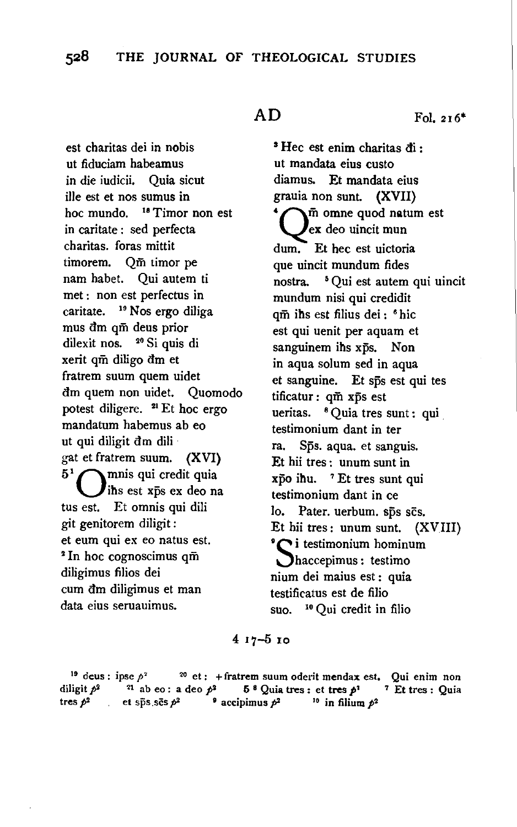est charitas dei in nobis ut fiduciam habeamus in die iudicii. Quia sicut ille est et nos sumus in hoc mundo. <sup>18</sup> Timor non est in caritate : sed perfecta charitas. foras mittit timorem. Qm timor pe nam habet. Qui autem ti met : non est perfectus in caritate. 19 Nos ergo diliga mus dm qm deus prior dilexit nos. 20 Si quis di xerit qm diligo dm et fratrem suum quem uidet dm quem non uidet. Quomodo potest diligere.  $21$  Et hoc ergo mandatum habemus ab eo ut qui diligit dm dili gat et fratrem suum. {XVI)  $5<sup>1</sup>$  mnis qui credit quia ihs est xps ex deo na tus est. Et omnis qui dili git genitorem diligit : et eum qui ex eo natus est. 2 In hoc cognoscimus qm diligimus filios dei cum dm diligimus et man data eius seruauimus.

 $AD$  Fol. 216<sup>\*</sup>

s Hec est enim charitas di : ut mandata eius custo diamus. Et mandata eius grauia non sunt. (XVII) 'Qm omne quod natum est ex deo uincit mun dum. Et hec est uictoria que uincit mundum fides nostra. 5 Qui est autem qui uincit mundum nisi qui credidit qm ihs est filius dei : 6 hie est qui uenit per aquam et sanguinem ihs xps. Non in aqua solum sed in aqua et sanguine. Et sps est qui tes tificatur : qm xps est ueritas. <sup>8</sup> Quia tres sunt : qui testimonium dant in ter ra. Sps. aqua. et sanguis. Et hii tres : unum sunt in xpo ihu. 7 Et tres sunt qui testimonium dant in ce lo. Pater. uerbum. sps scs. Et hii tres : unum sunt.  $(XVIII)$  $\sum$  i testimonium hominum haccepimus : testimo nium dei maius est : quia testificatus est de filio suo. 10 Qui credit in filio

4 17-5 IO

<sup>19</sup> deus : ipse  $p^2$  <sup>20</sup> et : + fratrem suum oderit mendax est. Qui enim non iligit  $p^2$  <sup>21</sup> ab eo : a deo  $p^2$  5<sup>8</sup> Quia tres : et tres  $p^2$  7 Et tres : Quia diligit  $p^2$  <sup>21</sup> ab eo: a deo  $p^2$  5<sup>8</sup> Quia tres : et tres  $p^2$  <sup>7</sup> Et tres : Quia tres  $p^2$  et sps ses  $p^2$  **exectionus**  $p^2$  <sup>10</sup> in filium  $p^2$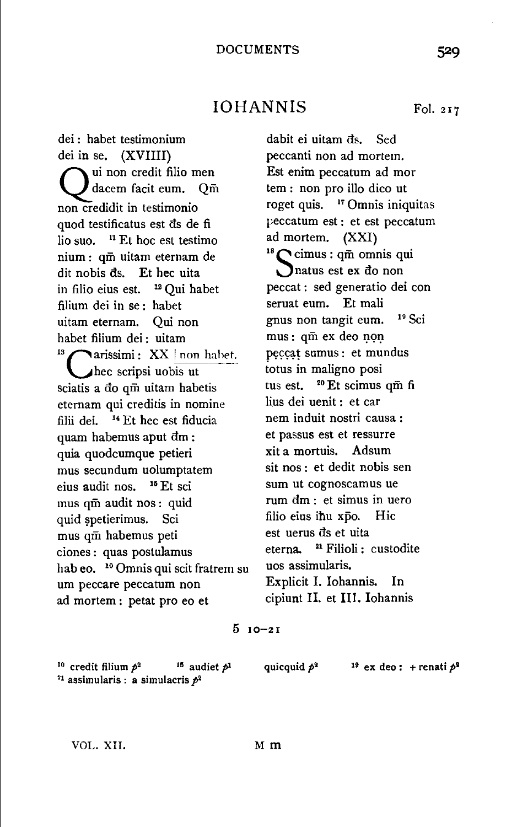# IOHANNIS Fol. 217

dei : habet testimonium dei in se. (XVIIII) ui non credit filio men dacem facit eum. Qm non credidit in testimonio quod testificatus est ds de fi lio suo. 11 Et hoc est testimo nium : qm uitam eternam de dit nobis ds. Et hec uita in filio eius est. 12 Qui habet filium dei in se : habet uitam eternam. Qui non habet filium dei : uitam<br>
<sup>13</sup> carissimi : XX | non habet. hec scripsi uobis ut sciatis a do qm uitam habetis eternam qui creditis in nomine filii dei. 14 Et hec est fiducia quam habemus aput dm: quia quodcumque petieri mus secundum uolumptatem eius audit nos. 15 Et sci mus qm audit nos : quid quid spetierimus. Sci mus qm habemus peti ciones : quas postulamus hab eo. <sup>10</sup> Omnis qui scit fratrem su um peccare peccatum non ad mortem : petat pro eo et

dabit ei uitam ds. Sed peccanti non ad mortem. Est enim peccatum ad mor tem : non pro illo dico ut roget quis. 17 Omnis iniquitas peccatum est : et est peccatum ad mortem.  $(XXI)$ <br><sup>18</sup>Cimus: qm omnis qui natus est ex do non peccat : sed generatio dei con seruat eum. Et mali gnus non tangit eum. 19 Sci mus: qm ex deo non peccat sumus : et mundus totus in maligno posi tus est. <sup>20</sup> Et scimus qm fi lius dei uenit : et car nem induit nostri causa : et passus est et ressurre xit a mortuis. Adsum sit nos : et dedit nobis sen sum ut cognoscamus ue rum dm : et simus in uero filio eius ihu xpo. Hic est uerus ds et uita eterna. 21 Filioli : custodite uos assimularis. Explicit I. Iohannis. In cipiunt II. et Ill. Iohannis

### 5 10-21

<sup>10</sup> credit filium  $p^2$  <sup>15</sup> audiet  $p^1$  quicquid  $p^2$  <sup>19</sup> ex deo : + renati  $p^3$ <sup>21</sup> assimularis : a simulacris  $p^2$ 

VOL. XII. Mm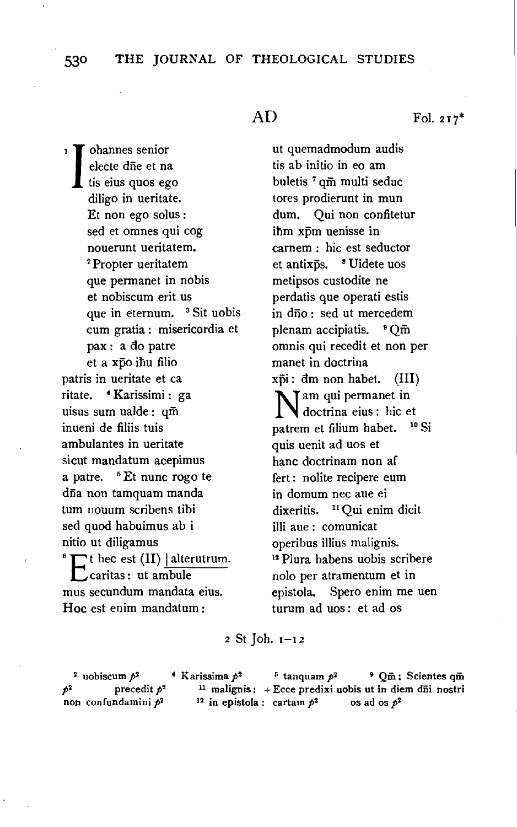### 530 **THE** JOURNAL OF THEOLOGICAL STUDIES

blannes senior electe die et na tis eius quos ego diligo in ueritate. Et non ego solus : sed et omnes qui cog nouerunt ueritatem.<br><sup>2</sup>Propter ueritatem que permanet in nobis et nobiscum erit us que in eternum. <sup>3</sup> Sit uobis cum gratia : misericordia et pax : a do patre et a xpo ihu filio patris in ueritate et ca ritate. • Karissimi : ga uisus sum ualde : qm inueni de filiis tuis ambulantes in ueritate sicut mandatum acepimus a patre. <sup>5</sup> Et nunc rogo te dña non tamquam manda turn nouum scribens tibi sed quod habuimus ab i nitio ut diligamus  $^6$   $\Gamma$ <sup>t</sup> hec est (II) | alterutrum. C caritas: ut ambule mus secundum mandata eius. Hoc est enim mandatum :

ut quemadmodum audis tis ab initio in eo am buletis 7 qm multi seduc tores prodierunt in mun dum. Qui non confitetur ihm xpm uenisse in carnem : hie est seductor et antixps. <sup>8</sup> Uidete uos metipsos custodite ne perdatis que operati estis in dño: sed ut mercedem plenam accipiatis. <sup>9</sup> Qm omnis qui recedit et non per manet in doctrina  $x\overline{p}$ i: dm non habet. (III) Nam qui permanet in<br>doctrina eius : hic et<br>patrem et filium habet. doctrina eius : hie et patrem et filium habet. quis uenit ad uos et banc doctrinam non af fert : nolite recipere eum in domum nee aue ei dixeritis. 11 Qui enim dicit illi aue : comunicat operibus illius malignis. 12 Piura habens uobis scribere nolo per atramentum et in epistola. Spero enim me uen turum ad uos : et ad os

<sup>2</sup>St Joh. I-I *z* 

<sup>2</sup> uobiscum  $p^2$  **•** Karissima  $p^2$  **•** tanquam  $p^2$  **•**  $Qm$ : Scientes  $q\bar{m}$ precedit  $p^2$  <sup>11</sup> malignis: + Ecce predixi uobis ut in diem dūi nostri non confundamini  $p^2$  <sup>12</sup> in epistola : cartam  $p^2$  os ad os  $p^2$ 

 $AD$  Fol. 217\*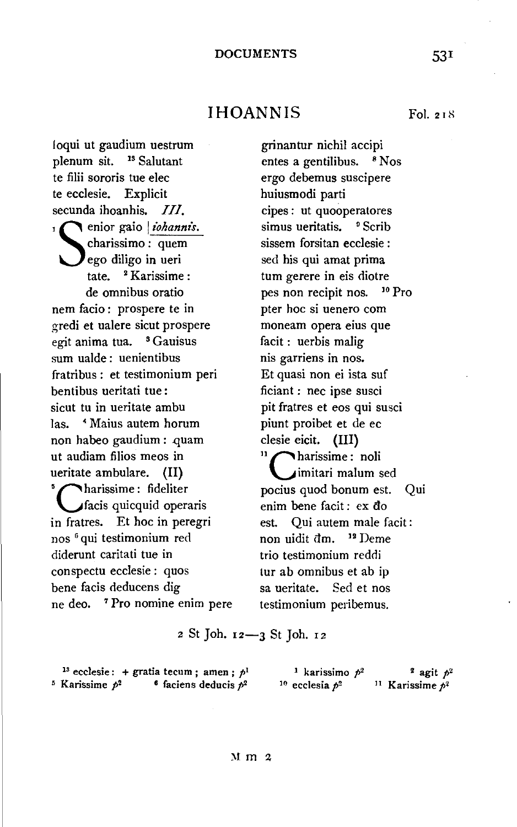### DOCUMENTS 531

IHOANNIS Fol. 218

loqui ut gaudium uestrum plenum sit. 18 Salutant te filii sororis tue elec te ecclesie. Explicit secunda ihoanhis. III. enior gaio *iohannis*. charissimo : quem ego diligo in ueri tate. 2 Karissime : de omnibus oratio nem facio : prospere te in gredi et ualere sicut prospere egit anima tua. <sup>8</sup> Gauisus sum ualde : uenientibus fratribus: et testimonium peri bentibus ueritati tue : sicut tu in ueritate ambu Jas. • Maius autem horum non habeo gaudium : quam ut audiam filios meos in ueritate ambulare. (II) harissime: fideliter fads quicquid operaris in fratres. Et hoc in peregri nos 6 qui testimonium red diderunt caritati tue in conspectu ecclesie : quos bene facis deducens dig ne deo. 7 Pro nomine enim pere

grinantur nichil accipi entes a gentilibus. <sup>8</sup> Nos ergo debemus suscipere huiusmodi parti cipes : ut quooperatores simus ueritatis. <sup>9</sup> Scrib sissem forsitan ecclesie : sed his qui amat prima tum gerere in eis diotre pes non recipit nos. 10 Pro pter hoc si uenero com moneam opera eius que facit : uerbis malig nis garriens in nos. Et quasi non ei ista suf ficiant : nee ipse susci pit fratres et eos qui susci piunt proibet et de ec clesie eicit. {III) harissime: noli imitari malum sed pocius quod bonum est. Qui enim bene facit: ex do est. Qui autem male facit : non uidit dm. <sup>12</sup> Deme trio testimonium reddi tur ab omnibus et ab ip sa ueritate. Sed et nos testimonium peribemus.

2 St Joh. 12-3 St Joh. 12

|                              | <sup>13</sup> ecclesie: + gratia tecum; amen; $p1$ | <sup>1</sup> karissimo $p^2$ | <sup>2</sup> agit $p^2$       |
|------------------------------|----------------------------------------------------|------------------------------|-------------------------------|
| <sup>5</sup> Karissime $p^2$ | <sup>6</sup> faciens deducis $p^2$                 | <sup>10</sup> ecclesia $p^2$ | <sup>11</sup> Karissime $p^2$ |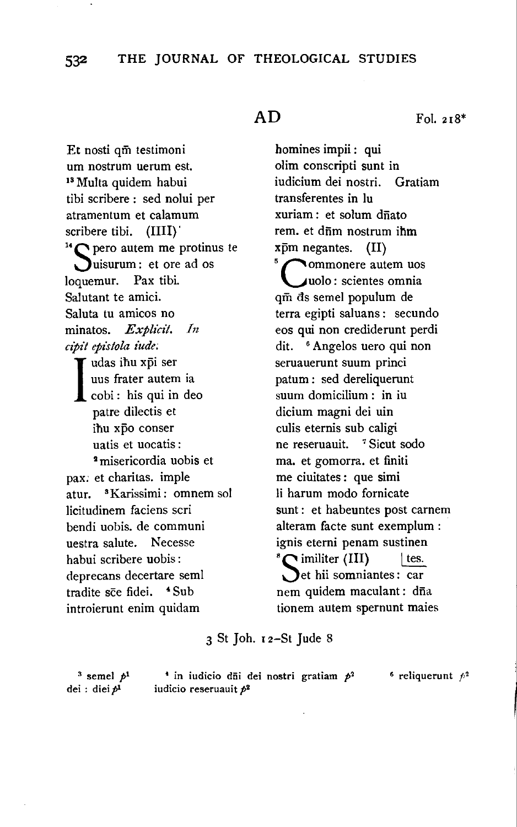Et nosti qm testimoni um nostrum uerum est.<br><sup>13</sup> Multa quidem habui tibi scribere : sed nolui per atramentum et calamum scribere tibi. (IIII)<br><sup>14</sup> pero autem me protinus te uisurum : et ore ad os loquemur. Pax tibi. Salutant te amici. Saluta tu amicos no minatos. *ExpHcit. In cipit epistola t'ude;*  I udas ihu xpi ser<br>
uus frater autem<br>
cobi : his qui in<br>
patre dilectis et uus frater autem ia cobi : his qui in deo patre dilectis et ihu xpo conser uatis et uocatis :<br><sup>2</sup> misericordia uobis et pax; et charitas. imple atur. 3Karissimi: omnem sol licitudinem faciens scri bendi uobis. de communi uestra salute. Necesse habui scribere uobis : deprecans decertare semi tradite sce fidei. <sup>4</sup>Sub introierunt enim quidam

homines impii: qui olim conscripti sunt in iudicium dei nostri. Gratiam transferentes in lu xuriam : et solum drīato rem. et diim nostrum ihm  $x\bar{p}m$  negantes. (II)<br> $5\sqrt{\frac{20}{15}}$  commonere autem uos uolo : scientes omnia qm as semel populum de terra egipti saluans : secundo eos qui non crediderunt perdi dit. 6 Angelos uero qui non seruauerunt suum princi patum : sed dereliquerunt suum domicilium : in iu dicium magni dei uin culis eternis sub caligi ne reseruauit. <sup>7</sup> Sicut sodo ma. et gomorra. et finiti me ciuitates : que simi li harum modo fornicate sunt : et habeuntes post carnem alteram facte sunt exemplum : ignis eterni penam sustinen  ${}^s\mathbb{C}$  imiliter (III) | tes. et hii somniantes: car nem quidem maculant : dña tionem autem spernunt maies

3 St Joh. 1 2-St Jude 8

 $3$  semel  $p<sup>1</sup>$ dei: diei $p<sup>1</sup>$ 

<sup>1</sup> in iudicio d<del>ii</del> dei nostri gratiam  $p^2$  <sup>6</sup> reliquerunt  $p^2$  *iudicio reseruauit*  $p^2$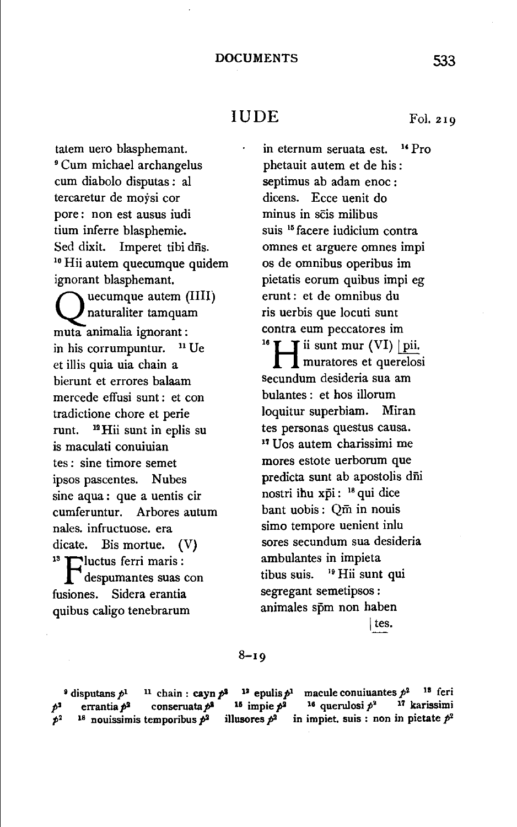# IUDE Fol. 219

tatem uero blasphemant. 9 Cum michael archangelus cum diabolo disputas : a! tercaretur de moysi cor pore : non est ausus iudi tium inferre blasphemie. Sed dixit. Imperet tibi dns. 10 Hii autem quecumque quidem ignorant blasphemant. uecumque autem (IIII) erunt : et de omnibus du<br>
naturaliter tamquam is uerbis que locuti sunt<br>
ranimalia ionorant : contra eum peccatores im naturaliter tamquam m uta animalia ignorant : in his corrumpuntur. <sup>11</sup> Ue et illis quia uia chain a bierunt et errores balaam mercede effusi sunt : et con tradictione chore et perie runt. 12Hii sunt in eplis su is maculati conuiuian tes : sine timore semet ipsos pascentes. Nubes sine aqua : que a uentis cir cumferuntur. Arbores autum nales. infructuose. era dicate. Bis mortue.  $(V)$ <sup>13</sup> Teluctus ferri maris : despumantes suas con fusiones. Sidera erantia quibus caligo tenebrarum

in eternum seruata est.  $^{14}$  Pro phetauit autem et de his: septimus ab adam enoc : dicens. Ecce uenit do minus in scis milibus suis 15 facere iudicium contra omnes et arguere omnes impi os de omnibus operibus im pietatis eorum quibus impi eg ris uerbis que locuti sunt  $\mathbf T$  ii sunt mur (VI) | pii. muratores et querelosi secundum desideria sua am bulantes : et hos illorum loquitur superbiam. Miran tes personas questus causa. <sup>17</sup>Uos autem charissimi me mores estote uerborum que predicta sunt ab apostolis dfii nostri ihu xpi: <sup>18</sup> qui dice bant uobis : Qm in nouis simo tempore uenient inlu sores secundum sua desideria ambulantes in impieta tibus suis. ' 9 Hii sunt qui segregant semetipsos : animales spm non haben

 $\vert$  tes.

### $8 - 19$

<sup>9</sup> disputans  $p<sup>1</sup>$  <sup>11</sup> chain : cayn  $p<sup>2</sup>$  $15$  impie  $p^2$ illusores  $p^2$  in impiet. suis : non in pietate  $p^2$ <sup>12</sup> epulis  $p<sup>1</sup>$  macule conuiuantes  $p<sup>2</sup>$ <sup>18</sup> feri 1e querulosi *p•* 17 karissimi errantia  $p^2$  conseruata  $p^2$  $p^2$  18 nouissimis temporibus  $p^2$